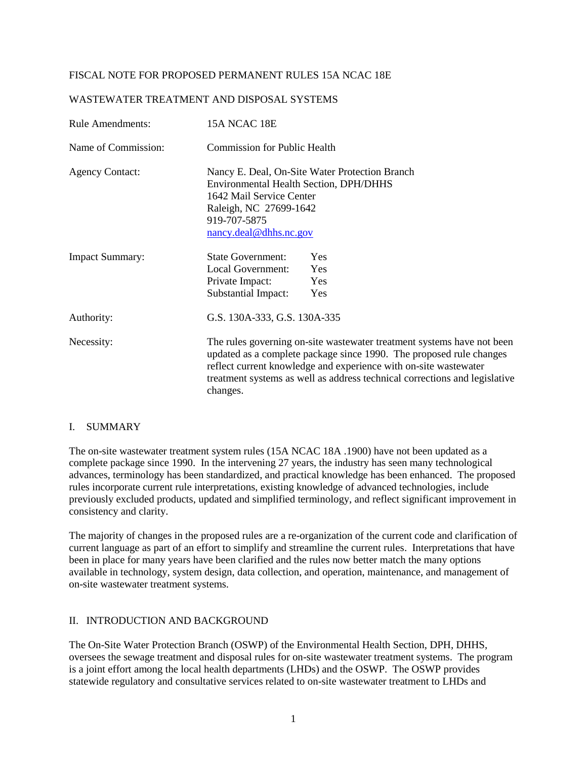# FISCAL NOTE FOR PROPOSED PERMANENT RULES 15A NCAC 18E

#### WASTEWATER TREATMENT AND DISPOSAL SYSTEMS

| <b>Rule Amendments:</b> | 15A NCAC 18E                                                                                                                                                                                                                                                                                                |  |  |  |  |  |  |
|-------------------------|-------------------------------------------------------------------------------------------------------------------------------------------------------------------------------------------------------------------------------------------------------------------------------------------------------------|--|--|--|--|--|--|
| Name of Commission:     | <b>Commission for Public Health</b>                                                                                                                                                                                                                                                                         |  |  |  |  |  |  |
| <b>Agency Contact:</b>  | Nancy E. Deal, On-Site Water Protection Branch<br><b>Environmental Health Section, DPH/DHHS</b><br>1642 Mail Service Center<br>Raleigh, NC 27699-1642<br>919-707-5875<br>nancy.deal@dhhs.nc.gov                                                                                                             |  |  |  |  |  |  |
| <b>Impact Summary:</b>  | <b>State Government:</b><br><b>Yes</b><br>Local Government:<br>Yes<br>Private Impact:<br>Yes<br>Substantial Impact:<br>Yes                                                                                                                                                                                  |  |  |  |  |  |  |
| Authority:              | G.S. 130A-333, G.S. 130A-335                                                                                                                                                                                                                                                                                |  |  |  |  |  |  |
| Necessity:              | The rules governing on-site wastewater treatment systems have not been<br>updated as a complete package since 1990. The proposed rule changes<br>reflect current knowledge and experience with on-site wastewater<br>treatment systems as well as address technical corrections and legislative<br>changes. |  |  |  |  |  |  |

#### I. SUMMARY

The on-site wastewater treatment system rules (15A NCAC 18A .1900) have not been updated as a complete package since 1990. In the intervening 27 years, the industry has seen many technological advances, terminology has been standardized, and practical knowledge has been enhanced. The proposed rules incorporate current rule interpretations, existing knowledge of advanced technologies, include previously excluded products, updated and simplified terminology, and reflect significant improvement in consistency and clarity.

The majority of changes in the proposed rules are a re-organization of the current code and clarification of current language as part of an effort to simplify and streamline the current rules. Interpretations that have been in place for many years have been clarified and the rules now better match the many options available in technology, system design, data collection, and operation, maintenance, and management of on-site wastewater treatment systems.

# II. INTRODUCTION AND BACKGROUND

The On-Site Water Protection Branch (OSWP) of the Environmental Health Section, DPH, DHHS, oversees the sewage treatment and disposal rules for on-site wastewater treatment systems. The program is a joint effort among the local health departments (LHDs) and the OSWP. The OSWP provides statewide regulatory and consultative services related to on-site wastewater treatment to LHDs and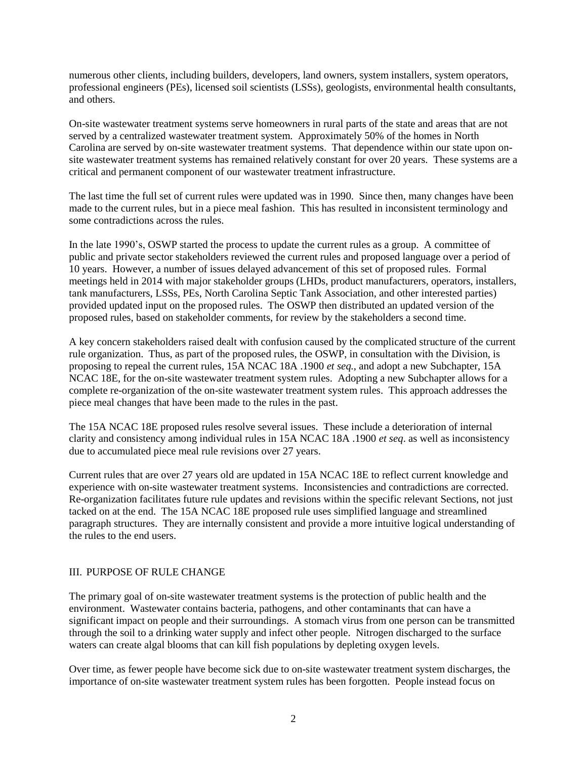numerous other clients, including builders, developers, land owners, system installers, system operators, professional engineers (PEs), licensed soil scientists (LSSs), geologists, environmental health consultants, and others.

On-site wastewater treatment systems serve homeowners in rural parts of the state and areas that are not served by a centralized wastewater treatment system. Approximately 50% of the homes in North Carolina are served by on-site wastewater treatment systems. That dependence within our state upon onsite wastewater treatment systems has remained relatively constant for over 20 years. These systems are a critical and permanent component of our wastewater treatment infrastructure.

The last time the full set of current rules were updated was in 1990. Since then, many changes have been made to the current rules, but in a piece meal fashion. This has resulted in inconsistent terminology and some contradictions across the rules.

In the late 1990's, OSWP started the process to update the current rules as a group. A committee of public and private sector stakeholders reviewed the current rules and proposed language over a period of 10 years. However, a number of issues delayed advancement of this set of proposed rules. Formal meetings held in 2014 with major stakeholder groups (LHDs, product manufacturers, operators, installers, tank manufacturers, LSSs, PEs, North Carolina Septic Tank Association, and other interested parties) provided updated input on the proposed rules. The OSWP then distributed an updated version of the proposed rules, based on stakeholder comments, for review by the stakeholders a second time.

A key concern stakeholders raised dealt with confusion caused by the complicated structure of the current rule organization. Thus, as part of the proposed rules, the OSWP, in consultation with the Division, is proposing to repeal the current rules, 15A NCAC 18A .1900 *et seq.*, and adopt a new Subchapter, 15A NCAC 18E, for the on-site wastewater treatment system rules. Adopting a new Subchapter allows for a complete re-organization of the on-site wastewater treatment system rules. This approach addresses the piece meal changes that have been made to the rules in the past.

The 15A NCAC 18E proposed rules resolve several issues. These include a deterioration of internal clarity and consistency among individual rules in 15A NCAC 18A .1900 *et seq*. as well as inconsistency due to accumulated piece meal rule revisions over 27 years.

Current rules that are over 27 years old are updated in 15A NCAC 18E to reflect current knowledge and experience with on-site wastewater treatment systems. Inconsistencies and contradictions are corrected. Re-organization facilitates future rule updates and revisions within the specific relevant Sections, not just tacked on at the end. The 15A NCAC 18E proposed rule uses simplified language and streamlined paragraph structures. They are internally consistent and provide a more intuitive logical understanding of the rules to the end users.

# III. PURPOSE OF RULE CHANGE

The primary goal of on-site wastewater treatment systems is the protection of public health and the environment. Wastewater contains bacteria, pathogens, and other contaminants that can have a significant impact on people and their surroundings. A stomach virus from one person can be transmitted through the soil to a drinking water supply and infect other people. Nitrogen discharged to the surface waters can create algal blooms that can kill fish populations by depleting oxygen levels.

Over time, as fewer people have become sick due to on-site wastewater treatment system discharges, the importance of on-site wastewater treatment system rules has been forgotten. People instead focus on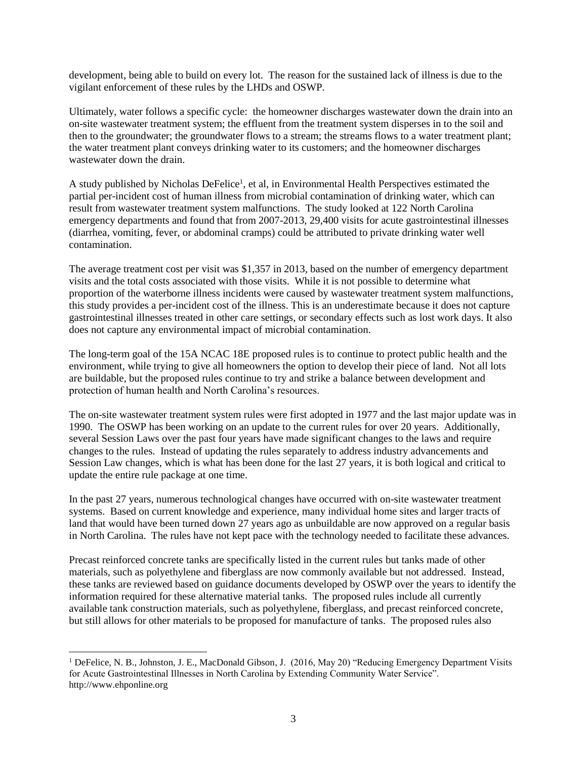development, being able to build on every lot. The reason for the sustained lack of illness is due to the vigilant enforcement of these rules by the LHDs and OSWP.

Ultimately, water follows a specific cycle: the homeowner discharges wastewater down the drain into an on-site wastewater treatment system; the effluent from the treatment system disperses in to the soil and then to the groundwater; the groundwater flows to a stream; the streams flows to a water treatment plant; the water treatment plant conveys drinking water to its customers; and the homeowner discharges wastewater down the drain.

A study published by Nicholas DeFelice<sup>1</sup>, et al, in Environmental Health Perspectives estimated the partial per-incident cost of human illness from microbial contamination of drinking water, which can result from wastewater treatment system malfunctions. The study looked at 122 North Carolina emergency departments and found that from 2007-2013, 29,400 visits for acute gastrointestinal illnesses (diarrhea, vomiting, fever, or abdominal cramps) could be attributed to private drinking water well contamination.

The average treatment cost per visit was \$1,357 in 2013, based on the number of emergency department visits and the total costs associated with those visits. While it is not possible to determine what proportion of the waterborne illness incidents were caused by wastewater treatment system malfunctions, this study provides a per-incident cost of the illness. This is an underestimate because it does not capture gastrointestinal illnesses treated in other care settings, or secondary effects such as lost work days. It also does not capture any environmental impact of microbial contamination.

The long-term goal of the 15A NCAC 18E proposed rules is to continue to protect public health and the environment, while trying to give all homeowners the option to develop their piece of land. Not all lots are buildable, but the proposed rules continue to try and strike a balance between development and protection of human health and North Carolina's resources.

The on-site wastewater treatment system rules were first adopted in 1977 and the last major update was in 1990. The OSWP has been working on an update to the current rules for over 20 years. Additionally, several Session Laws over the past four years have made significant changes to the laws and require changes to the rules. Instead of updating the rules separately to address industry advancements and Session Law changes, which is what has been done for the last 27 years, it is both logical and critical to update the entire rule package at one time.

In the past 27 years, numerous technological changes have occurred with on-site wastewater treatment systems. Based on current knowledge and experience, many individual home sites and larger tracts of land that would have been turned down 27 years ago as unbuildable are now approved on a regular basis in North Carolina. The rules have not kept pace with the technology needed to facilitate these advances.

Precast reinforced concrete tanks are specifically listed in the current rules but tanks made of other materials, such as polyethylene and fiberglass are now commonly available but not addressed. Instead, these tanks are reviewed based on guidance documents developed by OSWP over the years to identify the information required for these alternative material tanks. The proposed rules include all currently available tank construction materials, such as polyethylene, fiberglass, and precast reinforced concrete, but still allows for other materials to be proposed for manufacture of tanks. The proposed rules also

l

<sup>1</sup> DeFelice, N. B., Johnston, J. E., MacDonald Gibson, J. (2016, May 20) "Reducing Emergency Department Visits for Acute Gastrointestinal Illnesses in North Carolina by Extending Community Water Service". http://www.ehponline.org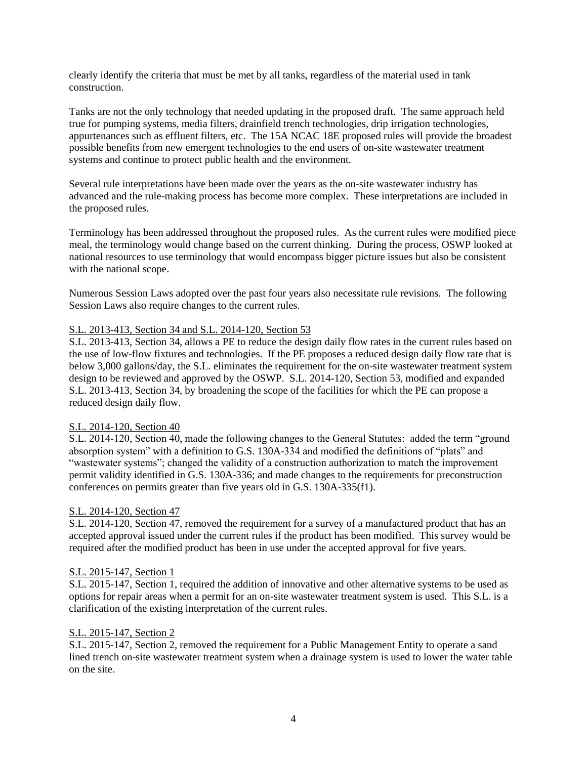clearly identify the criteria that must be met by all tanks, regardless of the material used in tank construction.

Tanks are not the only technology that needed updating in the proposed draft. The same approach held true for pumping systems, media filters, drainfield trench technologies, drip irrigation technologies, appurtenances such as effluent filters, etc. The 15A NCAC 18E proposed rules will provide the broadest possible benefits from new emergent technologies to the end users of on-site wastewater treatment systems and continue to protect public health and the environment.

Several rule interpretations have been made over the years as the on-site wastewater industry has advanced and the rule-making process has become more complex. These interpretations are included in the proposed rules.

Terminology has been addressed throughout the proposed rules. As the current rules were modified piece meal, the terminology would change based on the current thinking. During the process, OSWP looked at national resources to use terminology that would encompass bigger picture issues but also be consistent with the national scope.

Numerous Session Laws adopted over the past four years also necessitate rule revisions. The following Session Laws also require changes to the current rules.

# S.L. 2013-413, Section 34 and S.L. 2014-120, Section 53

S.L. 2013-413, Section 34, allows a PE to reduce the design daily flow rates in the current rules based on the use of low-flow fixtures and technologies. If the PE proposes a reduced design daily flow rate that is below 3,000 gallons/day, the S.L. eliminates the requirement for the on-site wastewater treatment system design to be reviewed and approved by the OSWP. S.L. 2014-120, Section 53, modified and expanded S.L. 2013-413, Section 34, by broadening the scope of the facilities for which the PE can propose a reduced design daily flow.

# S.L. 2014-120, Section 40

S.L. 2014-120, Section 40, made the following changes to the General Statutes: added the term "ground absorption system" with a definition to G.S. 130A-334 and modified the definitions of "plats" and "wastewater systems"; changed the validity of a construction authorization to match the improvement permit validity identified in G.S. 130A-336; and made changes to the requirements for preconstruction conferences on permits greater than five years old in G.S. 130A-335(f1).

# S.L. 2014-120, Section 47

S.L. 2014-120, Section 47, removed the requirement for a survey of a manufactured product that has an accepted approval issued under the current rules if the product has been modified. This survey would be required after the modified product has been in use under the accepted approval for five years.

# S.L. 2015-147, Section 1

S.L. 2015-147, Section 1, required the addition of innovative and other alternative systems to be used as options for repair areas when a permit for an on-site wastewater treatment system is used. This S.L. is a clarification of the existing interpretation of the current rules.

# S.L. 2015-147, Section 2

S.L. 2015-147, Section 2, removed the requirement for a Public Management Entity to operate a sand lined trench on-site wastewater treatment system when a drainage system is used to lower the water table on the site.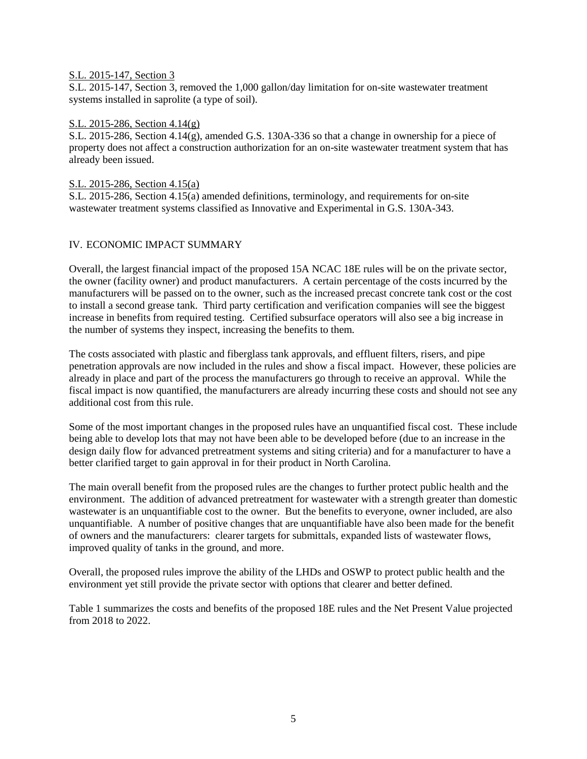#### S.L. 2015-147, Section 3

S.L. 2015-147, Section 3, removed the 1,000 gallon/day limitation for on-site wastewater treatment systems installed in saprolite (a type of soil).

#### S.L. 2015-286, Section 4.14(g)

S.L. 2015-286, Section 4.14(g), amended G.S. 130A-336 so that a change in ownership for a piece of property does not affect a construction authorization for an on-site wastewater treatment system that has already been issued.

#### S.L. 2015-286, Section 4.15(a)

S.L. 2015-286, Section 4.15(a) amended definitions, terminology, and requirements for on-site wastewater treatment systems classified as Innovative and Experimental in G.S. 130A-343.

# IV. ECONOMIC IMPACT SUMMARY

Overall, the largest financial impact of the proposed 15A NCAC 18E rules will be on the private sector, the owner (facility owner) and product manufacturers. A certain percentage of the costs incurred by the manufacturers will be passed on to the owner, such as the increased precast concrete tank cost or the cost to install a second grease tank. Third party certification and verification companies will see the biggest increase in benefits from required testing. Certified subsurface operators will also see a big increase in the number of systems they inspect, increasing the benefits to them.

The costs associated with plastic and fiberglass tank approvals, and effluent filters, risers, and pipe penetration approvals are now included in the rules and show a fiscal impact. However, these policies are already in place and part of the process the manufacturers go through to receive an approval. While the fiscal impact is now quantified, the manufacturers are already incurring these costs and should not see any additional cost from this rule.

Some of the most important changes in the proposed rules have an unquantified fiscal cost. These include being able to develop lots that may not have been able to be developed before (due to an increase in the design daily flow for advanced pretreatment systems and siting criteria) and for a manufacturer to have a better clarified target to gain approval in for their product in North Carolina.

The main overall benefit from the proposed rules are the changes to further protect public health and the environment. The addition of advanced pretreatment for wastewater with a strength greater than domestic wastewater is an unquantifiable cost to the owner. But the benefits to everyone, owner included, are also unquantifiable. A number of positive changes that are unquantifiable have also been made for the benefit of owners and the manufacturers: clearer targets for submittals, expanded lists of wastewater flows, improved quality of tanks in the ground, and more.

Overall, the proposed rules improve the ability of the LHDs and OSWP to protect public health and the environment yet still provide the private sector with options that clearer and better defined.

Table 1 summarizes the costs and benefits of the proposed 18E rules and the Net Present Value projected from 2018 to 2022.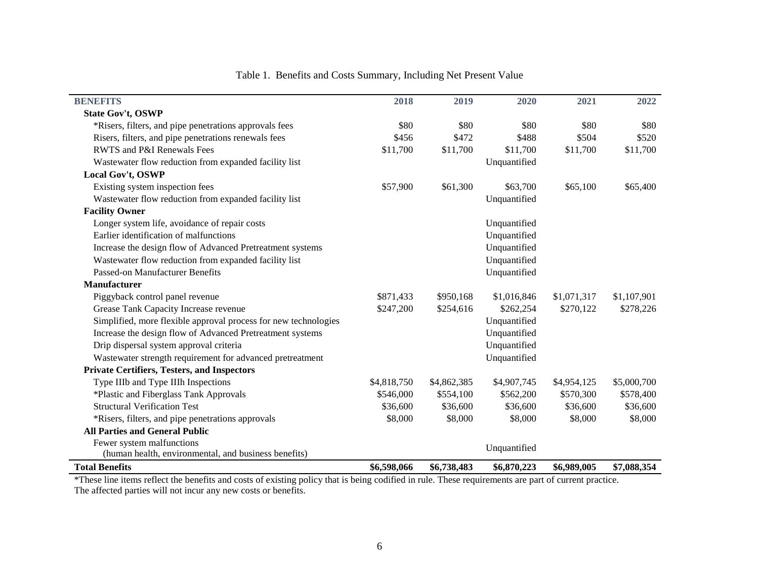| <b>BENEFITS</b>                                                 | 2018        | 2019        | 2020         | 2021        | 2022        |
|-----------------------------------------------------------------|-------------|-------------|--------------|-------------|-------------|
| State Gov't, OSWP                                               |             |             |              |             |             |
| *Risers, filters, and pipe penetrations approvals fees          | \$80        | \$80        | \$80         | \$80        | \$80        |
| Risers, filters, and pipe penetrations renewals fees            | \$456       | \$472       | \$488        | \$504       | \$520       |
| <b>RWTS</b> and P&I Renewals Fees                               | \$11,700    | \$11,700    | \$11,700     | \$11,700    | \$11,700    |
| Wastewater flow reduction from expanded facility list           |             |             | Unquantified |             |             |
| Local Gov't, OSWP                                               |             |             |              |             |             |
| Existing system inspection fees                                 | \$57,900    | \$61,300    | \$63,700     | \$65,100    | \$65,400    |
| Wastewater flow reduction from expanded facility list           |             |             | Unquantified |             |             |
| <b>Facility Owner</b>                                           |             |             |              |             |             |
| Longer system life, avoidance of repair costs                   |             |             | Unquantified |             |             |
| Earlier identification of malfunctions                          |             |             | Unquantified |             |             |
| Increase the design flow of Advanced Pretreatment systems       |             |             | Unquantified |             |             |
| Wastewater flow reduction from expanded facility list           |             |             | Unquantified |             |             |
| <b>Passed-on Manufacturer Benefits</b>                          |             |             | Unquantified |             |             |
| <b>Manufacturer</b>                                             |             |             |              |             |             |
| Piggyback control panel revenue                                 | \$871,433   | \$950,168   | \$1,016,846  | \$1,071,317 | \$1,107,901 |
| Grease Tank Capacity Increase revenue                           | \$247,200   | \$254,616   | \$262,254    | \$270,122   | \$278,226   |
| Simplified, more flexible approval process for new technologies |             |             | Unquantified |             |             |
| Increase the design flow of Advanced Pretreatment systems       |             |             | Unquantified |             |             |
| Drip dispersal system approval criteria                         |             |             | Unquantified |             |             |
| Wastewater strength requirement for advanced pretreatment       |             |             | Unquantified |             |             |
| <b>Private Certifiers, Testers, and Inspectors</b>              |             |             |              |             |             |
| Type IIIb and Type IIIh Inspections                             | \$4,818,750 | \$4,862,385 | \$4,907,745  | \$4,954,125 | \$5,000,700 |
| *Plastic and Fiberglass Tank Approvals                          | \$546,000   | \$554,100   | \$562,200    | \$570,300   | \$578,400   |
| <b>Structural Verification Test</b>                             | \$36,600    | \$36,600    | \$36,600     | \$36,600    | \$36,600    |
| *Risers, filters, and pipe penetrations approvals               | \$8,000     | \$8,000     | \$8,000      | \$8,000     | \$8,000     |
| <b>All Parties and General Public</b>                           |             |             |              |             |             |
| Fewer system malfunctions                                       |             |             | Unquantified |             |             |
| (human health, environmental, and business benefits)            |             |             |              |             |             |
| <b>Total Benefits</b>                                           | \$6,598,066 | \$6,738,483 | \$6,870,223  | \$6,989,005 | \$7,088,354 |

# Table 1. Benefits and Costs Summary, Including Net Present Value

\*These line items reflect the benefits and costs of existing policy that is being codified in rule. These requirements are part of current practice. The affected parties will not incur any new costs or benefits.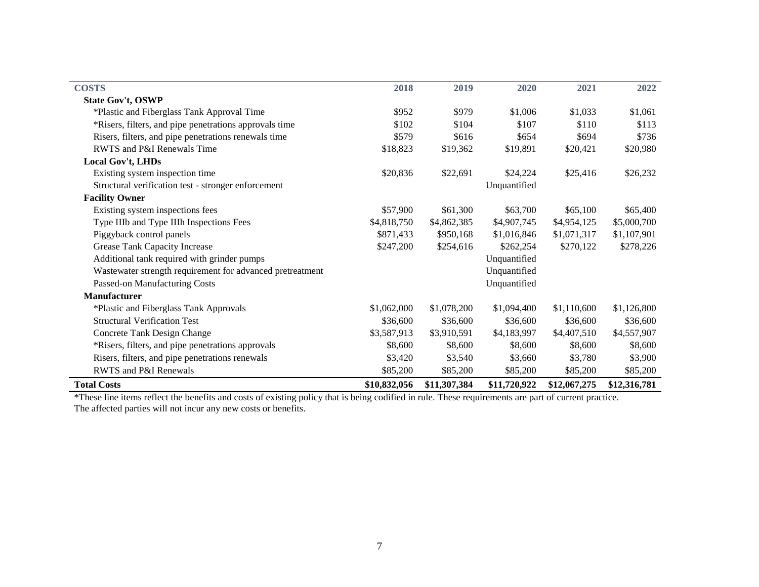| <b>COSTS</b>                                              | 2018         | 2019         | 2020         | 2021         | 2022         |
|-----------------------------------------------------------|--------------|--------------|--------------|--------------|--------------|
| <b>State Gov't, OSWP</b>                                  |              |              |              |              |              |
| *Plastic and Fiberglass Tank Approval Time                | \$952        | \$979        | \$1,006      | \$1,033      | \$1,061      |
| *Risers, filters, and pipe penetrations approvals time    | \$102        | \$104        | \$107        | \$110        | \$113        |
| Risers, filters, and pipe penetrations renewals time      | \$579        | \$616        | \$654        | \$694        | \$736        |
| RWTS and P&I Renewals Time                                | \$18,823     | \$19,362     | \$19,891     | \$20,421     | \$20,980     |
| Local Gov't, LHDs                                         |              |              |              |              |              |
| Existing system inspection time                           | \$20,836     | \$22,691     | \$24,224     | \$25,416     | \$26,232     |
| Structural verification test - stronger enforcement       |              |              | Unquantified |              |              |
| <b>Facility Owner</b>                                     |              |              |              |              |              |
| Existing system inspections fees                          | \$57,900     | \$61,300     | \$63,700     | \$65,100     | \$65,400     |
| Type IIIb and Type IIIh Inspections Fees                  | \$4,818,750  | \$4,862,385  | \$4,907,745  | \$4,954,125  | \$5,000,700  |
| Piggyback control panels                                  | \$871,433    | \$950,168    | \$1,016,846  | \$1,071,317  | \$1,107,901  |
| Grease Tank Capacity Increase                             | \$247,200    | \$254,616    | \$262,254    | \$270,122    | \$278,226    |
| Additional tank required with grinder pumps               |              |              | Unquantified |              |              |
| Wastewater strength requirement for advanced pretreatment |              |              | Unquantified |              |              |
| Passed-on Manufacturing Costs                             |              |              | Unquantified |              |              |
| <b>Manufacturer</b>                                       |              |              |              |              |              |
| *Plastic and Fiberglass Tank Approvals                    | \$1,062,000  | \$1,078,200  | \$1,094,400  | \$1,110,600  | \$1,126,800  |
| <b>Structural Verification Test</b>                       | \$36,600     | \$36,600     | \$36,600     | \$36,600     | \$36,600     |
| Concrete Tank Design Change                               | \$3,587,913  | \$3,910,591  | \$4,183,997  | \$4,407,510  | \$4,557,907  |
| *Risers, filters, and pipe penetrations approvals         | \$8,600      | \$8,600      | \$8,600      | \$8,600      | \$8,600      |
| Risers, filters, and pipe penetrations renewals           | \$3,420      | \$3,540      | \$3,660      | \$3,780      | \$3,900      |
| RWTS and P&I Renewals                                     | \$85,200     | \$85,200     | \$85,200     | \$85,200     | \$85,200     |
| <b>Total Costs</b>                                        | \$10,832,056 | \$11,307,384 | \$11,720,922 | \$12,067,275 | \$12,316,781 |

\*These line items reflect the benefits and costs of existing policy that is being codified in rule. These requirements are part of current practice. The affected parties will not incur any new costs or benefits.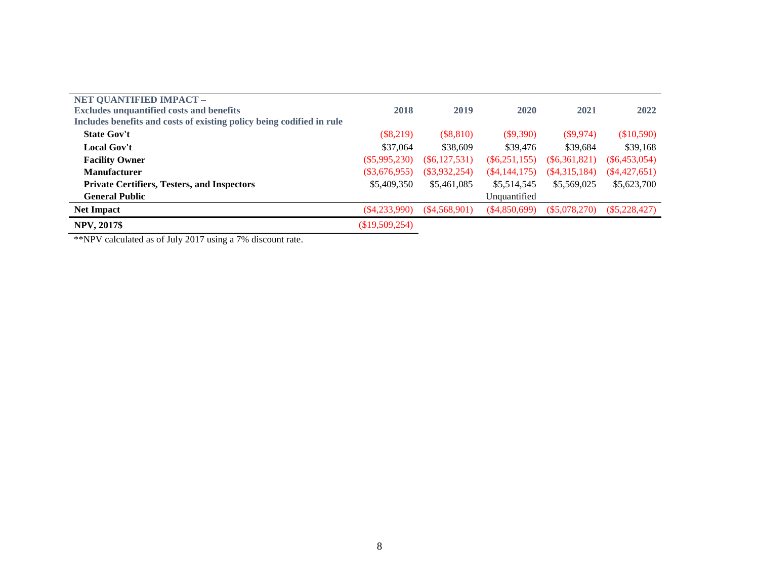| NET QUANTIFIED IMPACT -                                               |                  |                 |                 |                 |                 |
|-----------------------------------------------------------------------|------------------|-----------------|-----------------|-----------------|-----------------|
| <b>Excludes unquantified costs and benefits</b>                       | 2018             | 2019            | 2020            | 2021            | 2022            |
| Includes benefits and costs of existing policy being codified in rule |                  |                 |                 |                 |                 |
| <b>State Gov't</b>                                                    | $(\$8,219)$      | $(\$8,810)$     | $(\$9,390)$     | $(\$9,974)$     | (\$10,590)      |
| <b>Local Gov't</b>                                                    | \$37,064         | \$38,609        | \$39,476        | \$39,684        | \$39,168        |
| <b>Facility Owner</b>                                                 | $(\$5,995,230)$  | (S6, 127, 531)  | $(\$6,251,155)$ | $(\$6,361,821)$ | $(\$6,453,054)$ |
| Manufacturer                                                          | $(\$3,676,955)$  | $(\$3,932,254)$ | $(\$4,144,175)$ | $(\$4,315,184)$ | $(\$4,427,651)$ |
| <b>Private Certifiers, Testers, and Inspectors</b>                    | \$5,409,350      | \$5,461,085     | \$5,514,545     | \$5,569,025     | \$5,623,700     |
| <b>General Public</b>                                                 |                  |                 | Unquantified    |                 |                 |
| <b>Net Impact</b>                                                     | $(\$4,233,990)$  | (S4, 568, 901)  | $(\$4,850,699)$ | $(\$5,078,270)$ | $(\$5,228,427)$ |
| <b>NPV, 2017\$</b>                                                    | $(\$19,509,254)$ |                 |                 |                 |                 |

\*\*NPV calculated as of July 2017 using a 7% discount rate.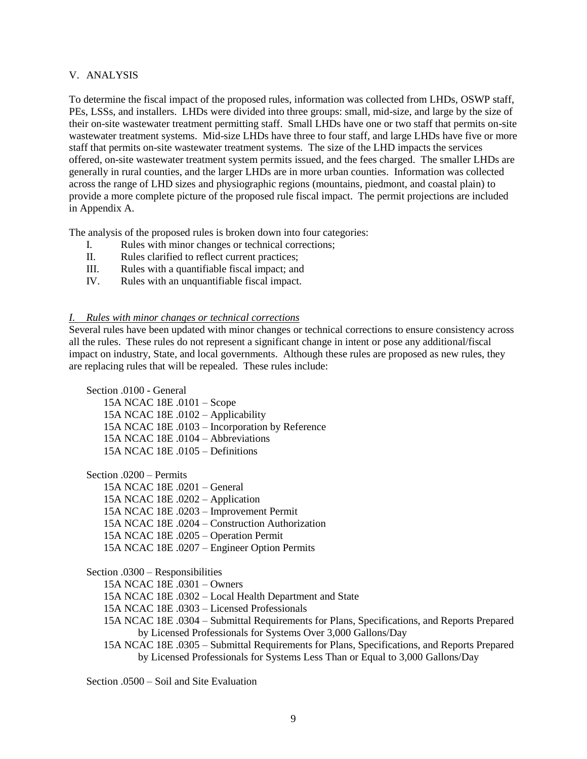#### V. ANALYSIS

To determine the fiscal impact of the proposed rules, information was collected from LHDs, OSWP staff, PEs, LSSs, and installers. LHDs were divided into three groups: small, mid-size, and large by the size of their on-site wastewater treatment permitting staff. Small LHDs have one or two staff that permits on-site wastewater treatment systems. Mid-size LHDs have three to four staff, and large LHDs have five or more staff that permits on-site wastewater treatment systems. The size of the LHD impacts the services offered, on-site wastewater treatment system permits issued, and the fees charged. The smaller LHDs are generally in rural counties, and the larger LHDs are in more urban counties. Information was collected across the range of LHD sizes and physiographic regions (mountains, piedmont, and coastal plain) to provide a more complete picture of the proposed rule fiscal impact. The permit projections are included in Appendix A.

The analysis of the proposed rules is broken down into four categories:

- I. Rules with minor changes or technical corrections;
- II. Rules clarified to reflect current practices;
- III. Rules with a quantifiable fiscal impact; and
- IV. Rules with an unquantifiable fiscal impact.

#### *I. Rules with minor changes or technical corrections*

Several rules have been updated with minor changes or technical corrections to ensure consistency across all the rules. These rules do not represent a significant change in intent or pose any additional/fiscal impact on industry, State, and local governments. Although these rules are proposed as new rules, they are replacing rules that will be repealed. These rules include:

Section .0100 - General

15A NCAC 18E .0101 – Scope 15A NCAC 18E .0102 – Applicability 15A NCAC 18E .0103 – Incorporation by Reference 15A NCAC 18E .0104 – Abbreviations 15A NCAC 18E  $.0105 -$  Definitions

Section .0200 – Permits 15A NCAC 18E .0201 – General 15A NCAC 18E .0202 – Application 15A NCAC 18E .0203 – Improvement Permit 15A NCAC 18E .0204 – Construction Authorization 15A NCAC 18E .0205 – Operation Permit 15A NCAC 18E .0207 – Engineer Option Permits

Section .0300 – Responsibilities

15A NCAC 18E .0301 – Owners

15A NCAC 18E .0302 – Local Health Department and State

15A NCAC 18E .0303 – Licensed Professionals

- 15A NCAC 18E .0304 Submittal Requirements for Plans, Specifications, and Reports Prepared by Licensed Professionals for Systems Over 3,000 Gallons/Day
- 15A NCAC 18E .0305 Submittal Requirements for Plans, Specifications, and Reports Prepared by Licensed Professionals for Systems Less Than or Equal to 3,000 Gallons/Day

Section .0500 – Soil and Site Evaluation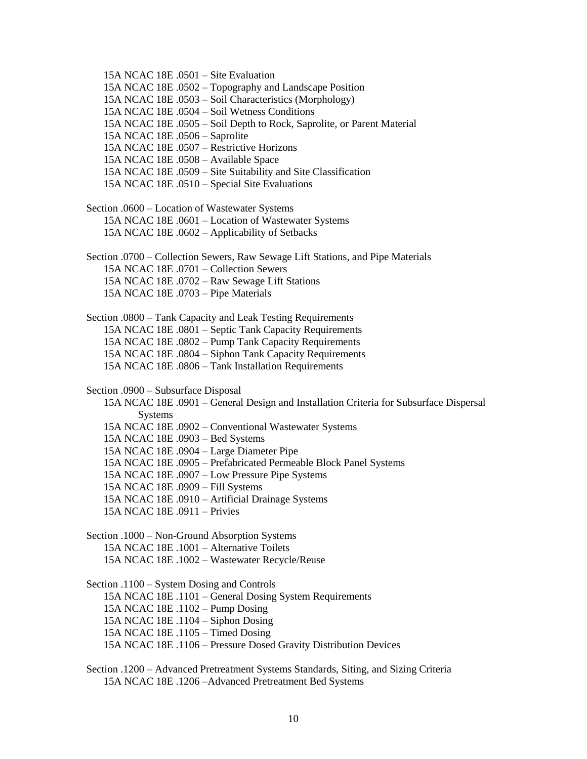15A NCAC 18E .0501 – Site Evaluation 15A NCAC 18E .0502 – Topography and Landscape Position 15A NCAC 18E .0503 – Soil Characteristics (Morphology) 15A NCAC 18E .0504 – Soil Wetness Conditions 15A NCAC 18E .0505 – Soil Depth to Rock, Saprolite, or Parent Material 15A NCAC 18E .0506 – Saprolite 15A NCAC 18E .0507 – Restrictive Horizons 15A NCAC 18E .0508 – Available Space 15A NCAC 18E .0509 – Site Suitability and Site Classification 15A NCAC 18E .0510 – Special Site Evaluations Section .0600 – Location of Wastewater Systems 15A NCAC 18E .0601 – Location of Wastewater Systems 15A NCAC 18E .0602 – Applicability of Setbacks Section .0700 – Collection Sewers, Raw Sewage Lift Stations, and Pipe Materials 15A NCAC 18E .0701 – Collection Sewers 15A NCAC 18E .0702 – Raw Sewage Lift Stations 15A NCAC 18E .0703 – Pipe Materials Section .0800 – Tank Capacity and Leak Testing Requirements 15A NCAC 18E .0801 – Septic Tank Capacity Requirements 15A NCAC 18E .0802 – Pump Tank Capacity Requirements 15A NCAC 18E .0804 – Siphon Tank Capacity Requirements 15A NCAC 18E .0806 – Tank Installation Requirements Section .0900 – Subsurface Disposal 15A NCAC 18E .0901 – General Design and Installation Criteria for Subsurface Dispersal Systems 15A NCAC 18E .0902 – Conventional Wastewater Systems 15A NCAC 18E .0903 – Bed Systems 15A NCAC 18E .0904 – Large Diameter Pipe 15A NCAC 18E .0905 – Prefabricated Permeable Block Panel Systems 15A NCAC 18E .0907 – Low Pressure Pipe Systems 15A NCAC 18E .0909 – Fill Systems 15A NCAC 18E .0910 – Artificial Drainage Systems 15A NCAC 18E .0911 – Privies Section .1000 – Non-Ground Absorption Systems 15A NCAC 18E .1001 – Alternative Toilets 15A NCAC 18E .1002 – Wastewater Recycle/Reuse Section .1100 – System Dosing and Controls 15A NCAC 18E .1101 – General Dosing System Requirements 15A NCAC 18E .1102 – Pump Dosing 15A NCAC 18E .1104 – Siphon Dosing 15A NCAC 18E .1105 – Timed Dosing 15A NCAC 18E .1106 – Pressure Dosed Gravity Distribution Devices Section .1200 – Advanced Pretreatment Systems Standards, Siting, and Sizing Criteria

15A NCAC 18E .1206 –Advanced Pretreatment Bed Systems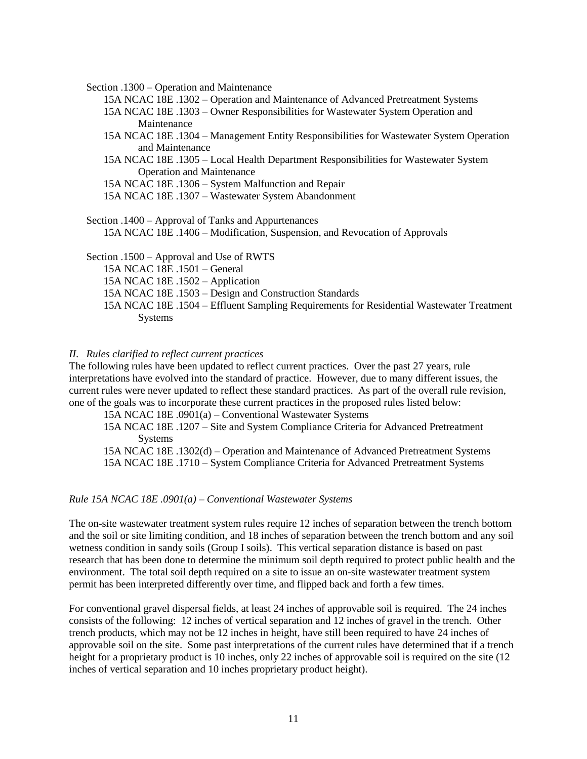Section .1300 – Operation and Maintenance

- 15A NCAC 18E .1302 Operation and Maintenance of Advanced Pretreatment Systems
- 15A NCAC 18E .1303 Owner Responsibilities for Wastewater System Operation and Maintenance
- 15A NCAC 18E .1304 Management Entity Responsibilities for Wastewater System Operation and Maintenance
- 15A NCAC 18E .1305 Local Health Department Responsibilities for Wastewater System Operation and Maintenance
- 15A NCAC 18E .1306 System Malfunction and Repair
- 15A NCAC 18E .1307 Wastewater System Abandonment
- Section .1400 Approval of Tanks and Appurtenances 15A NCAC 18E .1406 – Modification, Suspension, and Revocation of Approvals

Section .1500 – Approval and Use of RWTS 15A NCAC 18E .1501 – General 15A NCAC 18E .1502 – Application 15A NCAC 18E .1503 – Design and Construction Standards 15A NCAC 18E .1504 – Effluent Sampling Requirements for Residential Wastewater Treatment Systems

#### *II. Rules clarified to reflect current practices*

The following rules have been updated to reflect current practices. Over the past 27 years, rule interpretations have evolved into the standard of practice. However, due to many different issues, the current rules were never updated to reflect these standard practices. As part of the overall rule revision, one of the goals was to incorporate these current practices in the proposed rules listed below:

15A NCAC 18E .0901(a) – Conventional Wastewater Systems

15A NCAC 18E .1207 – Site and System Compliance Criteria for Advanced Pretreatment Systems

15A NCAC 18E .1302(d) – Operation and Maintenance of Advanced Pretreatment Systems 15A NCAC 18E .1710 – System Compliance Criteria for Advanced Pretreatment Systems

#### *Rule 15A NCAC 18E .0901(a) – Conventional Wastewater Systems*

The on-site wastewater treatment system rules require 12 inches of separation between the trench bottom and the soil or site limiting condition, and 18 inches of separation between the trench bottom and any soil wetness condition in sandy soils (Group I soils). This vertical separation distance is based on past research that has been done to determine the minimum soil depth required to protect public health and the environment. The total soil depth required on a site to issue an on-site wastewater treatment system permit has been interpreted differently over time, and flipped back and forth a few times.

For conventional gravel dispersal fields, at least 24 inches of approvable soil is required. The 24 inches consists of the following: 12 inches of vertical separation and 12 inches of gravel in the trench. Other trench products, which may not be 12 inches in height, have still been required to have 24 inches of approvable soil on the site. Some past interpretations of the current rules have determined that if a trench height for a proprietary product is 10 inches, only 22 inches of approvable soil is required on the site (12) inches of vertical separation and 10 inches proprietary product height).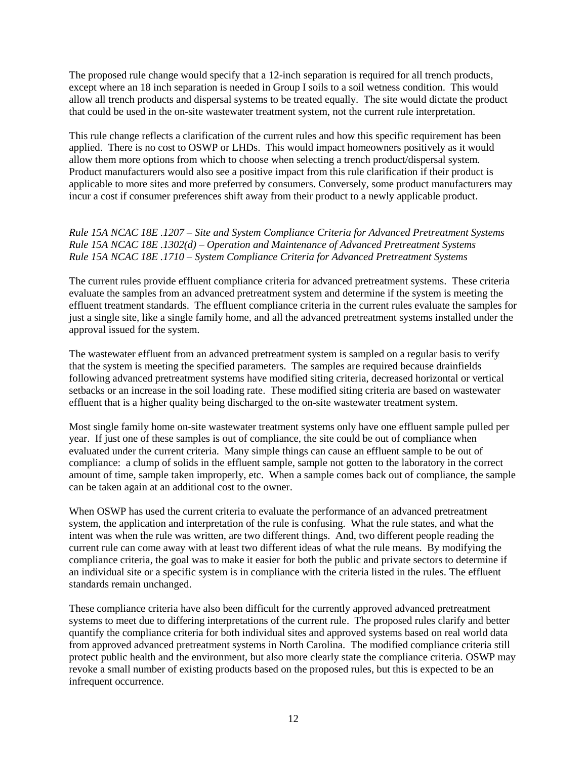The proposed rule change would specify that a 12-inch separation is required for all trench products, except where an 18 inch separation is needed in Group I soils to a soil wetness condition. This would allow all trench products and dispersal systems to be treated equally. The site would dictate the product that could be used in the on-site wastewater treatment system, not the current rule interpretation.

This rule change reflects a clarification of the current rules and how this specific requirement has been applied. There is no cost to OSWP or LHDs. This would impact homeowners positively as it would allow them more options from which to choose when selecting a trench product/dispersal system. Product manufacturers would also see a positive impact from this rule clarification if their product is applicable to more sites and more preferred by consumers. Conversely, some product manufacturers may incur a cost if consumer preferences shift away from their product to a newly applicable product.

# *Rule 15A NCAC 18E .1207 – Site and System Compliance Criteria for Advanced Pretreatment Systems Rule 15A NCAC 18E .1302(d) – Operation and Maintenance of Advanced Pretreatment Systems Rule 15A NCAC 18E .1710 – System Compliance Criteria for Advanced Pretreatment Systems*

The current rules provide effluent compliance criteria for advanced pretreatment systems. These criteria evaluate the samples from an advanced pretreatment system and determine if the system is meeting the effluent treatment standards. The effluent compliance criteria in the current rules evaluate the samples for just a single site, like a single family home, and all the advanced pretreatment systems installed under the approval issued for the system.

The wastewater effluent from an advanced pretreatment system is sampled on a regular basis to verify that the system is meeting the specified parameters. The samples are required because drainfields following advanced pretreatment systems have modified siting criteria, decreased horizontal or vertical setbacks or an increase in the soil loading rate. These modified siting criteria are based on wastewater effluent that is a higher quality being discharged to the on-site wastewater treatment system.

Most single family home on-site wastewater treatment systems only have one effluent sample pulled per year. If just one of these samples is out of compliance, the site could be out of compliance when evaluated under the current criteria. Many simple things can cause an effluent sample to be out of compliance: a clump of solids in the effluent sample, sample not gotten to the laboratory in the correct amount of time, sample taken improperly, etc. When a sample comes back out of compliance, the sample can be taken again at an additional cost to the owner.

When OSWP has used the current criteria to evaluate the performance of an advanced pretreatment system, the application and interpretation of the rule is confusing. What the rule states, and what the intent was when the rule was written, are two different things. And, two different people reading the current rule can come away with at least two different ideas of what the rule means. By modifying the compliance criteria, the goal was to make it easier for both the public and private sectors to determine if an individual site or a specific system is in compliance with the criteria listed in the rules. The effluent standards remain unchanged.

These compliance criteria have also been difficult for the currently approved advanced pretreatment systems to meet due to differing interpretations of the current rule. The proposed rules clarify and better quantify the compliance criteria for both individual sites and approved systems based on real world data from approved advanced pretreatment systems in North Carolina. The modified compliance criteria still protect public health and the environment, but also more clearly state the compliance criteria. OSWP may revoke a small number of existing products based on the proposed rules, but this is expected to be an infrequent occurrence.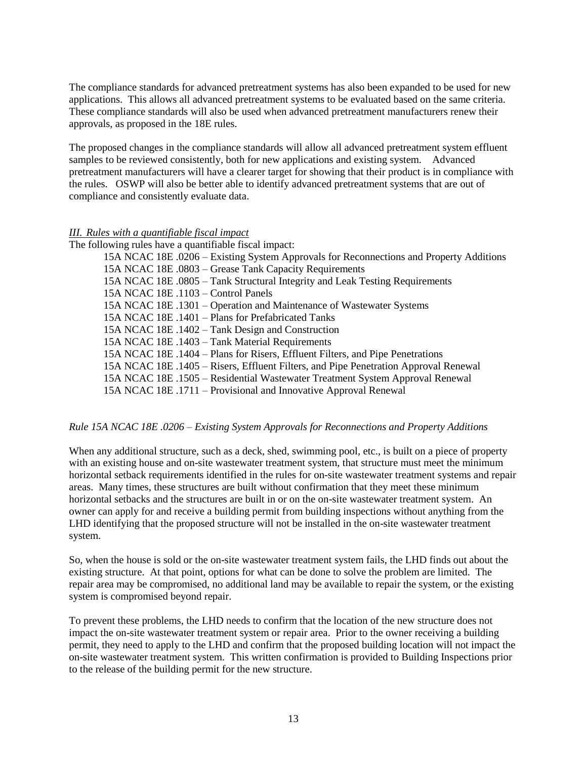The compliance standards for advanced pretreatment systems has also been expanded to be used for new applications. This allows all advanced pretreatment systems to be evaluated based on the same criteria. These compliance standards will also be used when advanced pretreatment manufacturers renew their approvals, as proposed in the 18E rules.

The proposed changes in the compliance standards will allow all advanced pretreatment system effluent samples to be reviewed consistently, both for new applications and existing system. Advanced pretreatment manufacturers will have a clearer target for showing that their product is in compliance with the rules. OSWP will also be better able to identify advanced pretreatment systems that are out of compliance and consistently evaluate data.

#### *III. Rules with a quantifiable fiscal impact*

The following rules have a quantifiable fiscal impact: 15A NCAC 18E .0206 – Existing System Approvals for Reconnections and Property Additions 15A NCAC 18E .0803 – Grease Tank Capacity Requirements 15A NCAC 18E .0805 – Tank Structural Integrity and Leak Testing Requirements 15A NCAC 18E .1103 – Control Panels 15A NCAC 18E .1301 – Operation and Maintenance of Wastewater Systems 15A NCAC 18E .1401 – Plans for Prefabricated Tanks 15A NCAC 18E .1402 – Tank Design and Construction 15A NCAC 18E .1403 – Tank Material Requirements 15A NCAC 18E .1404 – Plans for Risers, Effluent Filters, and Pipe Penetrations 15A NCAC 18E .1405 – Risers, Effluent Filters, and Pipe Penetration Approval Renewal 15A NCAC 18E .1505 – Residential Wastewater Treatment System Approval Renewal 15A NCAC 18E .1711 – Provisional and Innovative Approval Renewal

# *Rule 15A NCAC 18E .0206 – Existing System Approvals for Reconnections and Property Additions*

When any additional structure, such as a deck, shed, swimming pool, etc., is built on a piece of property with an existing house and on-site wastewater treatment system, that structure must meet the minimum horizontal setback requirements identified in the rules for on-site wastewater treatment systems and repair areas. Many times, these structures are built without confirmation that they meet these minimum horizontal setbacks and the structures are built in or on the on-site wastewater treatment system. An owner can apply for and receive a building permit from building inspections without anything from the LHD identifying that the proposed structure will not be installed in the on-site wastewater treatment system.

So, when the house is sold or the on-site wastewater treatment system fails, the LHD finds out about the existing structure. At that point, options for what can be done to solve the problem are limited. The repair area may be compromised, no additional land may be available to repair the system, or the existing system is compromised beyond repair.

To prevent these problems, the LHD needs to confirm that the location of the new structure does not impact the on-site wastewater treatment system or repair area. Prior to the owner receiving a building permit, they need to apply to the LHD and confirm that the proposed building location will not impact the on-site wastewater treatment system. This written confirmation is provided to Building Inspections prior to the release of the building permit for the new structure.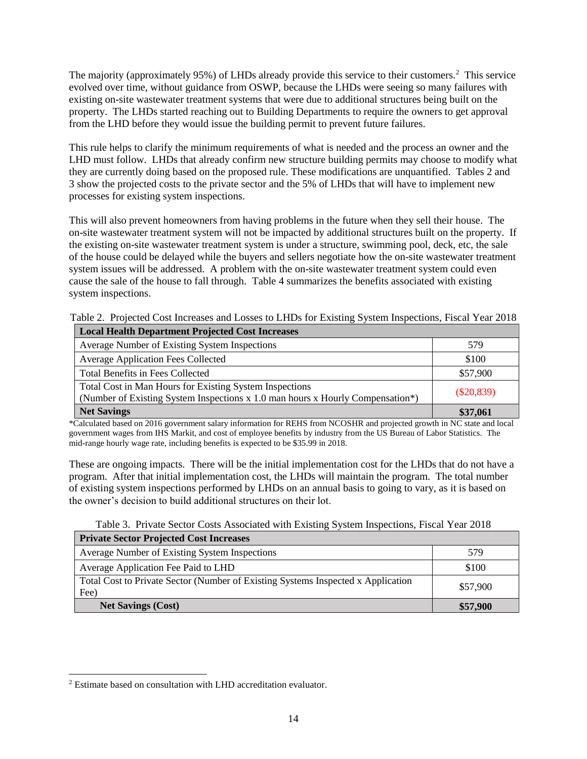The majority (approximately 95%) of LHDs already provide this service to their customers.<sup>2</sup> This service evolved over time, without guidance from OSWP, because the LHDs were seeing so many failures with existing on-site wastewater treatment systems that were due to additional structures being built on the property. The LHDs started reaching out to Building Departments to require the owners to get approval from the LHD before they would issue the building permit to prevent future failures.

This rule helps to clarify the minimum requirements of what is needed and the process an owner and the LHD must follow. LHDs that already confirm new structure building permits may choose to modify what they are currently doing based on the proposed rule. These modifications are unquantified. Tables 2 and 3 show the projected costs to the private sector and the 5% of LHDs that will have to implement new processes for existing system inspections.

This will also prevent homeowners from having problems in the future when they sell their house. The on-site wastewater treatment system will not be impacted by additional structures built on the property. If the existing on-site wastewater treatment system is under a structure, swimming pool, deck, etc, the sale of the house could be delayed while the buyers and sellers negotiate how the on-site wastewater treatment system issues will be addressed. A problem with the on-site wastewater treatment system could even cause the sale of the house to fall through. Table 4 summarizes the benefits associated with existing system inspections.

|  |  |  |  |  |  |  |  | Table 2. Projected Cost Increases and Losses to LHDs for Existing System Inspections, Fiscal Year 2018 |  |  |
|--|--|--|--|--|--|--|--|--------------------------------------------------------------------------------------------------------|--|--|
|  |  |  |  |  |  |  |  |                                                                                                        |  |  |

| <b>Local Health Department Projected Cost Increases</b>                                                                                   |              |  |  |  |  |  |
|-------------------------------------------------------------------------------------------------------------------------------------------|--------------|--|--|--|--|--|
| Average Number of Existing System Inspections                                                                                             | 579          |  |  |  |  |  |
| <b>Average Application Fees Collected</b>                                                                                                 | \$100        |  |  |  |  |  |
| Total Benefits in Fees Collected                                                                                                          | \$57,900     |  |  |  |  |  |
| Total Cost in Man Hours for Existing System Inspections<br>(Number of Existing System Inspections x 1.0 man hours x Hourly Compensation*) | $(\$20,839)$ |  |  |  |  |  |
| <b>Net Savings</b>                                                                                                                        | \$37,061     |  |  |  |  |  |

\*Calculated based on 2016 government salary information for REHS from NCOSHR and projected growth in NC state and local government wages from IHS Markit, and cost of employee benefits by industry from the US Bureau of Labor Statistics. The mid-range hourly wage rate, including benefits is expected to be \$35.99 in 2018.

These are ongoing impacts. There will be the initial implementation cost for the LHDs that do not have a program. After that initial implementation cost, the LHDs will maintain the program. The total number of existing system inspections performed by LHDs on an annual basis to going to vary, as it is based on the owner's decision to build additional structures on their lot.

|  | Table 3. Private Sector Costs Associated with Existing System Inspections, Fiscal Year 2018 |  |  |  |
|--|---------------------------------------------------------------------------------------------|--|--|--|
|  |                                                                                             |  |  |  |

| <b>Private Sector Projected Cost Increases</b>                                           |          |
|------------------------------------------------------------------------------------------|----------|
| Average Number of Existing System Inspections                                            | 579      |
| Average Application Fee Paid to LHD                                                      | \$100    |
| Total Cost to Private Sector (Number of Existing Systems Inspected x Application<br>Fee) | \$57,900 |
| <b>Net Savings (Cost)</b>                                                                | \$57,900 |

 $\overline{a}$ 

<sup>2</sup> Estimate based on consultation with LHD accreditation evaluator.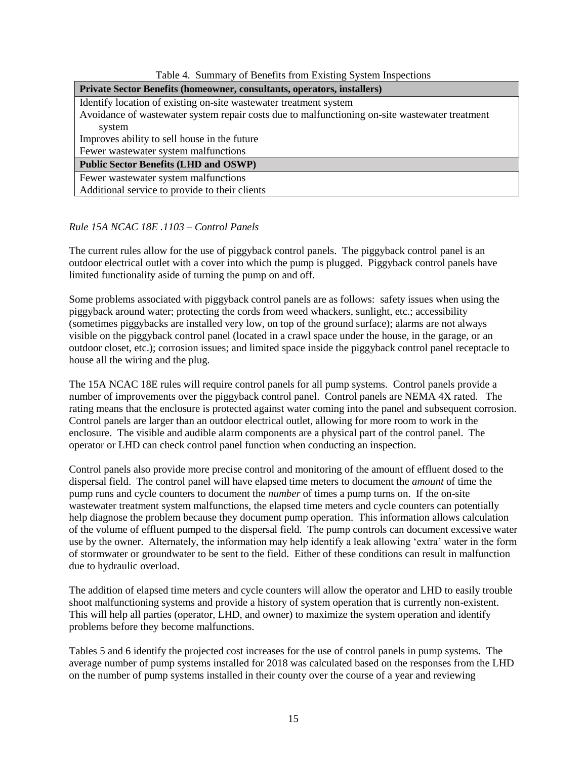| Table 4. Summary of Benefits from Existing System Inspections                                  |  |  |  |  |  |  |  |  |
|------------------------------------------------------------------------------------------------|--|--|--|--|--|--|--|--|
| Private Sector Benefits (homeowner, consultants, operators, installers)                        |  |  |  |  |  |  |  |  |
| Identify location of existing on-site wastewater treatment system                              |  |  |  |  |  |  |  |  |
| Avoidance of wastewater system repair costs due to malfunctioning on-site wastewater treatment |  |  |  |  |  |  |  |  |
| system                                                                                         |  |  |  |  |  |  |  |  |
| Improves ability to sell house in the future                                                   |  |  |  |  |  |  |  |  |
| Fewer wastewater system malfunctions                                                           |  |  |  |  |  |  |  |  |

**Public Sector Benefits (LHD and OSWP)**

Fewer wastewater system malfunctions

Additional service to provide to their clients

# *Rule 15A NCAC 18E .1103 – Control Panels*

The current rules allow for the use of piggyback control panels. The piggyback control panel is an outdoor electrical outlet with a cover into which the pump is plugged. Piggyback control panels have limited functionality aside of turning the pump on and off.

Some problems associated with piggyback control panels are as follows: safety issues when using the piggyback around water; protecting the cords from weed whackers, sunlight, etc.; accessibility (sometimes piggybacks are installed very low, on top of the ground surface); alarms are not always visible on the piggyback control panel (located in a crawl space under the house, in the garage, or an outdoor closet, etc.); corrosion issues; and limited space inside the piggyback control panel receptacle to house all the wiring and the plug.

The 15A NCAC 18E rules will require control panels for all pump systems. Control panels provide a number of improvements over the piggyback control panel. Control panels are NEMA 4X rated. The rating means that the enclosure is protected against water coming into the panel and subsequent corrosion. Control panels are larger than an outdoor electrical outlet, allowing for more room to work in the enclosure. The visible and audible alarm components are a physical part of the control panel. The operator or LHD can check control panel function when conducting an inspection.

Control panels also provide more precise control and monitoring of the amount of effluent dosed to the dispersal field. The control panel will have elapsed time meters to document the *amount* of time the pump runs and cycle counters to document the *number* of times a pump turns on. If the on-site wastewater treatment system malfunctions, the elapsed time meters and cycle counters can potentially help diagnose the problem because they document pump operation. This information allows calculation of the volume of effluent pumped to the dispersal field. The pump controls can document excessive water use by the owner. Alternately, the information may help identify a leak allowing 'extra' water in the form of stormwater or groundwater to be sent to the field. Either of these conditions can result in malfunction due to hydraulic overload.

The addition of elapsed time meters and cycle counters will allow the operator and LHD to easily trouble shoot malfunctioning systems and provide a history of system operation that is currently non-existent. This will help all parties (operator, LHD, and owner) to maximize the system operation and identify problems before they become malfunctions.

Tables 5 and 6 identify the projected cost increases for the use of control panels in pump systems. The average number of pump systems installed for 2018 was calculated based on the responses from the LHD on the number of pump systems installed in their county over the course of a year and reviewing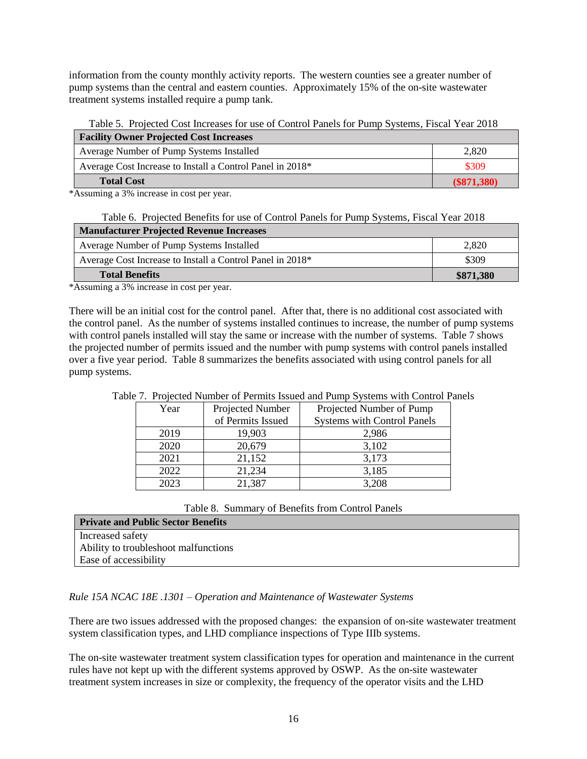information from the county monthly activity reports. The western counties see a greater number of pump systems than the central and eastern counties. Approximately 15% of the on-site wastewater treatment systems installed require a pump tank.

Table 5. Projected Cost Increases for use of Control Panels for Pump Systems, Fiscal Year 2018 **Facility Owner Projected Cost Increases**

| Tuente, Owner Trojected Cost merchangs                    |               |
|-----------------------------------------------------------|---------------|
| Average Number of Pump Systems Installed                  | 2.820         |
| Average Cost Increase to Install a Control Panel in 2018* | \$309         |
| <b>Total Cost</b>                                         | $(\$871,380)$ |

\*Assuming a 3% increase in cost per year.

|  |  |  |  | Table 6. Projected Benefits for use of Control Panels for Pump Systems, Fiscal Year 2018 |
|--|--|--|--|------------------------------------------------------------------------------------------|
|  |  |  |  |                                                                                          |

| <b>Manufacturer Projected Revenue Increases</b>           |           |  |  |  |  |  |  |
|-----------------------------------------------------------|-----------|--|--|--|--|--|--|
| Average Number of Pump Systems Installed                  | 2.820     |  |  |  |  |  |  |
| Average Cost Increase to Install a Control Panel in 2018* | \$309     |  |  |  |  |  |  |
| <b>Total Benefits</b>                                     | \$871.380 |  |  |  |  |  |  |

\*Assuming a 3% increase in cost per year.

There will be an initial cost for the control panel. After that, there is no additional cost associated with the control panel. As the number of systems installed continues to increase, the number of pump systems with control panels installed will stay the same or increase with the number of systems. Table 7 shows the projected number of permits issued and the number with pump systems with control panels installed over a five year period. Table 8 summarizes the benefits associated with using control panels for all pump systems.

| we have a conference that the contract the contract which is present that contract to |                   |                                    |
|---------------------------------------------------------------------------------------|-------------------|------------------------------------|
| Year                                                                                  | Projected Number  | Projected Number of Pump           |
|                                                                                       | of Permits Issued | <b>Systems with Control Panels</b> |
| 2019                                                                                  | 19,903            | 2,986                              |
| 2020                                                                                  | 20,679            | 3,102                              |
| 2021                                                                                  | 21,152            | 3,173                              |
| 2022                                                                                  | 21,234            | 3,185                              |
| 2023                                                                                  | 21,387            | 3,208                              |

# Table 7. Projected Number of Permits Issued and Pump Systems with Control Panels

Table 8. Summary of Benefits from Control Panels

| <b>Private and Public Sector Benefits</b> |
|-------------------------------------------|
| Increased safety                          |
| Ability to trouble shoot malfunctions     |
| Ease of accessibility                     |

# *Rule 15A NCAC 18E .1301 – Operation and Maintenance of Wastewater Systems*

There are two issues addressed with the proposed changes: the expansion of on-site wastewater treatment system classification types, and LHD compliance inspections of Type IIIb systems.

The on-site wastewater treatment system classification types for operation and maintenance in the current rules have not kept up with the different systems approved by OSWP. As the on-site wastewater treatment system increases in size or complexity, the frequency of the operator visits and the LHD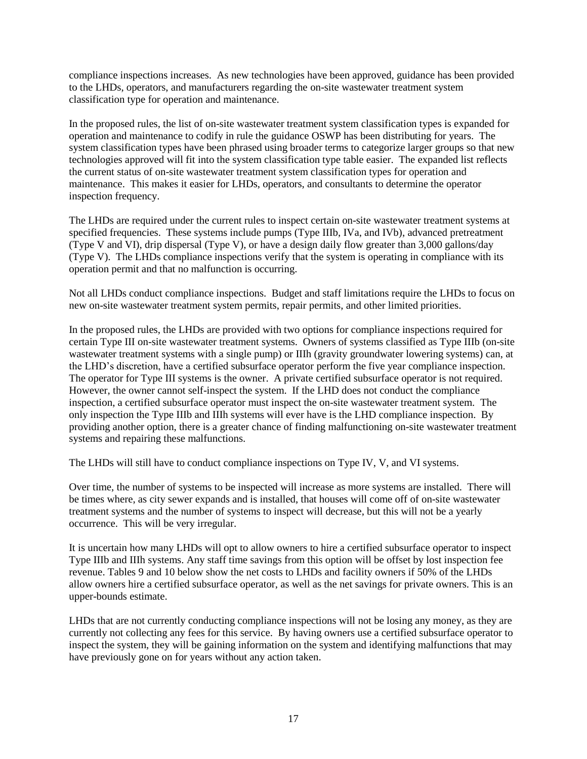compliance inspections increases. As new technologies have been approved, guidance has been provided to the LHDs, operators, and manufacturers regarding the on-site wastewater treatment system classification type for operation and maintenance.

In the proposed rules, the list of on-site wastewater treatment system classification types is expanded for operation and maintenance to codify in rule the guidance OSWP has been distributing for years. The system classification types have been phrased using broader terms to categorize larger groups so that new technologies approved will fit into the system classification type table easier. The expanded list reflects the current status of on-site wastewater treatment system classification types for operation and maintenance. This makes it easier for LHDs, operators, and consultants to determine the operator inspection frequency.

The LHDs are required under the current rules to inspect certain on-site wastewater treatment systems at specified frequencies. These systems include pumps (Type IIIb, IVa, and IVb), advanced pretreatment (Type V and VI), drip dispersal (Type V), or have a design daily flow greater than 3,000 gallons/day (Type V). The LHDs compliance inspections verify that the system is operating in compliance with its operation permit and that no malfunction is occurring.

Not all LHDs conduct compliance inspections. Budget and staff limitations require the LHDs to focus on new on-site wastewater treatment system permits, repair permits, and other limited priorities.

In the proposed rules, the LHDs are provided with two options for compliance inspections required for certain Type III on-site wastewater treatment systems. Owners of systems classified as Type IIIb (on-site wastewater treatment systems with a single pump) or IIIh (gravity groundwater lowering systems) can, at the LHD's discretion, have a certified subsurface operator perform the five year compliance inspection. The operator for Type III systems is the owner. A private certified subsurface operator is not required. However, the owner cannot self-inspect the system. If the LHD does not conduct the compliance inspection, a certified subsurface operator must inspect the on-site wastewater treatment system. The only inspection the Type IIIb and IIIh systems will ever have is the LHD compliance inspection. By providing another option, there is a greater chance of finding malfunctioning on-site wastewater treatment systems and repairing these malfunctions.

The LHDs will still have to conduct compliance inspections on Type IV, V, and VI systems.

Over time, the number of systems to be inspected will increase as more systems are installed. There will be times where, as city sewer expands and is installed, that houses will come off of on-site wastewater treatment systems and the number of systems to inspect will decrease, but this will not be a yearly occurrence. This will be very irregular.

It is uncertain how many LHDs will opt to allow owners to hire a certified subsurface operator to inspect Type IIIb and IIIh systems. Any staff time savings from this option will be offset by lost inspection fee revenue. Tables 9 and 10 below show the net costs to LHDs and facility owners if 50% of the LHDs allow owners hire a certified subsurface operator, as well as the net savings for private owners. This is an upper-bounds estimate.

LHDs that are not currently conducting compliance inspections will not be losing any money, as they are currently not collecting any fees for this service. By having owners use a certified subsurface operator to inspect the system, they will be gaining information on the system and identifying malfunctions that may have previously gone on for years without any action taken.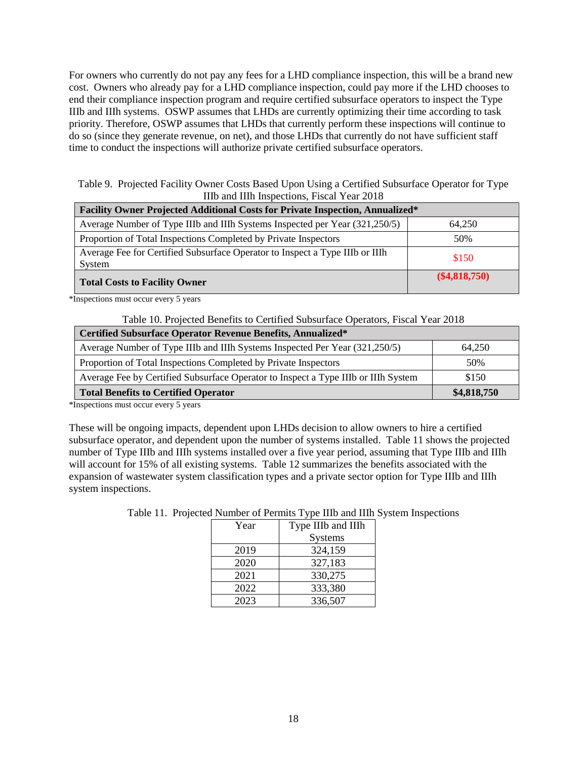For owners who currently do not pay any fees for a LHD compliance inspection, this will be a brand new cost. Owners who already pay for a LHD compliance inspection, could pay more if the LHD chooses to end their compliance inspection program and require certified subsurface operators to inspect the Type IIIb and IIIh systems. OSWP assumes that LHDs are currently optimizing their time according to task priority. Therefore, OSWP assumes that LHDs that currently perform these inspections will continue to do so (since they generate revenue, on net), and those LHDs that currently do not have sufficient staff time to conduct the inspections will authorize private certified subsurface operators.

Table 9. Projected Facility Owner Costs Based Upon Using a Certified Subsurface Operator for Type IIIb and IIIh Inspections, Fiscal Year 2018

| Facility Owner Projected Additional Costs for Private Inspection, Annualized*          |                 |  |
|----------------------------------------------------------------------------------------|-----------------|--|
| Average Number of Type IIIb and IIIh Systems Inspected per Year (321,250/5)            | 64,250          |  |
| Proportion of Total Inspections Completed by Private Inspectors                        | 50%             |  |
| Average Fee for Certified Subsurface Operator to Inspect a Type IIIb or IIIh<br>System | \$150           |  |
| <b>Total Costs to Facility Owner</b>                                                   | $(\$4,818,750)$ |  |

\*Inspections must occur every 5 years

Table 10. Projected Benefits to Certified Subsurface Operators, Fiscal Year 2018

| Certified Subsurface Operator Revenue Benefits, Annualized*                        |             |  |
|------------------------------------------------------------------------------------|-------------|--|
| Average Number of Type IIIb and IIIh Systems Inspected Per Year (321,250/5)        | 64.250      |  |
| Proportion of Total Inspections Completed by Private Inspectors                    | 50%         |  |
| Average Fee by Certified Subsurface Operator to Inspect a Type IIIb or IIIh System | \$150       |  |
| <b>Total Benefits to Certified Operator</b>                                        | \$4,818,750 |  |

\*Inspections must occur every 5 years

These will be ongoing impacts, dependent upon LHDs decision to allow owners to hire a certified subsurface operator, and dependent upon the number of systems installed. Table 11 shows the projected number of Type IIIb and IIIh systems installed over a five year period, assuming that Type IIIb and IIIh will account for 15% of all existing systems. Table 12 summarizes the benefits associated with the expansion of wastewater system classification types and a private sector option for Type IIIb and IIIh system inspections.

| Year | Type IIIb and IIIh |  |
|------|--------------------|--|
|      | <b>Systems</b>     |  |
| 2019 | 324,159            |  |
| 2020 | 327,183            |  |
| 2021 | 330,275            |  |
| 2022 | 333,380            |  |
| 2023 | 336,507            |  |

Table 11. Projected Number of Permits Type IIIb and IIIh System Inspections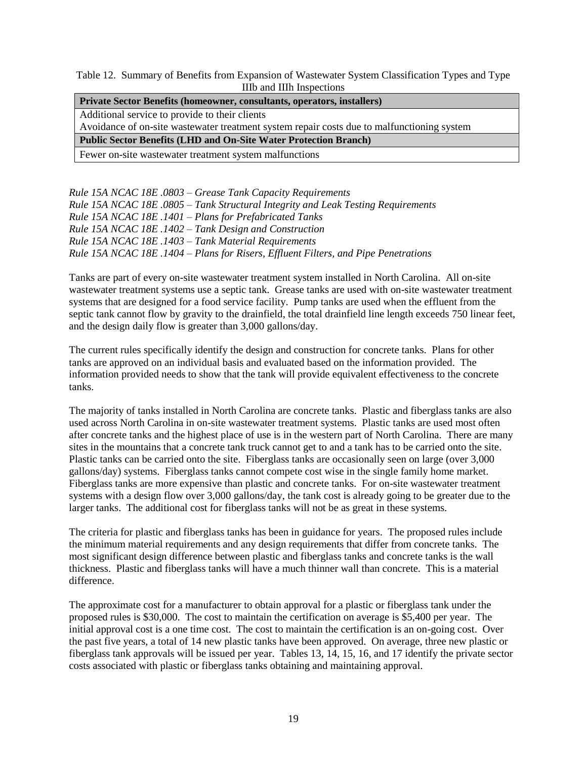Table 12. Summary of Benefits from Expansion of Wastewater System Classification Types and Type IIIb and IIIh Inspections

| <b>Private Sector Benefits (homeowner, consultants, operators, installers)</b>              |  |
|---------------------------------------------------------------------------------------------|--|
| Additional service to provide to their clients                                              |  |
| Avoidance of on-site was tewater treatment system repair costs due to malfunctioning system |  |
| <b>Public Sector Benefits (LHD and On-Site Water Protection Branch)</b>                     |  |
| Fewer on-site wastewater treatment system malfunctions                                      |  |

*Rule 15A NCAC 18E .0803 – Grease Tank Capacity Requirements Rule 15A NCAC 18E .0805 – Tank Structural Integrity and Leak Testing Requirements Rule 15A NCAC 18E .1401 – Plans for Prefabricated Tanks Rule 15A NCAC 18E .1402 – Tank Design and Construction Rule 15A NCAC 18E .1403 – Tank Material Requirements Rule 15A NCAC 18E .1404 – Plans for Risers, Effluent Filters, and Pipe Penetrations*

Tanks are part of every on-site wastewater treatment system installed in North Carolina. All on-site wastewater treatment systems use a septic tank. Grease tanks are used with on-site wastewater treatment systems that are designed for a food service facility. Pump tanks are used when the effluent from the septic tank cannot flow by gravity to the drainfield, the total drainfield line length exceeds 750 linear feet, and the design daily flow is greater than 3,000 gallons/day.

The current rules specifically identify the design and construction for concrete tanks. Plans for other tanks are approved on an individual basis and evaluated based on the information provided. The information provided needs to show that the tank will provide equivalent effectiveness to the concrete tanks.

The majority of tanks installed in North Carolina are concrete tanks. Plastic and fiberglass tanks are also used across North Carolina in on-site wastewater treatment systems. Plastic tanks are used most often after concrete tanks and the highest place of use is in the western part of North Carolina. There are many sites in the mountains that a concrete tank truck cannot get to and a tank has to be carried onto the site. Plastic tanks can be carried onto the site. Fiberglass tanks are occasionally seen on large (over 3,000 gallons/day) systems. Fiberglass tanks cannot compete cost wise in the single family home market. Fiberglass tanks are more expensive than plastic and concrete tanks. For on-site wastewater treatment systems with a design flow over 3,000 gallons/day, the tank cost is already going to be greater due to the larger tanks. The additional cost for fiberglass tanks will not be as great in these systems.

The criteria for plastic and fiberglass tanks has been in guidance for years. The proposed rules include the minimum material requirements and any design requirements that differ from concrete tanks. The most significant design difference between plastic and fiberglass tanks and concrete tanks is the wall thickness. Plastic and fiberglass tanks will have a much thinner wall than concrete. This is a material difference.

The approximate cost for a manufacturer to obtain approval for a plastic or fiberglass tank under the proposed rules is \$30,000. The cost to maintain the certification on average is \$5,400 per year. The initial approval cost is a one time cost. The cost to maintain the certification is an on-going cost. Over the past five years, a total of 14 new plastic tanks have been approved. On average, three new plastic or fiberglass tank approvals will be issued per year. Tables 13, 14, 15, 16, and 17 identify the private sector costs associated with plastic or fiberglass tanks obtaining and maintaining approval.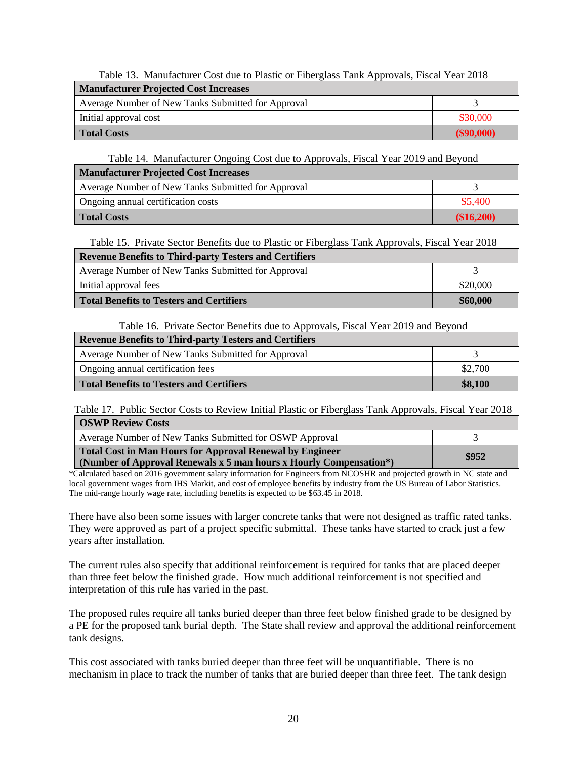| Table 13. Manufacturer Cost due to Plastic or Fiberglass Tank Approvals, Fiscal Year 2018 |              |  |
|-------------------------------------------------------------------------------------------|--------------|--|
| <b>Manufacturer Projected Cost Increases</b>                                              |              |  |
| Average Number of New Tanks Submitted for Approval                                        |              |  |
| Initial approval cost                                                                     | \$30,000     |  |
| <b>Total Costs</b>                                                                        | $(\$90,000)$ |  |

Table 13. Manufacturer Cost due to Plastic or Fiberglass Tank Approvals, Fiscal Year 2018

Table 14. Manufacturer Ongoing Cost due to Approvals, Fiscal Year 2019 and Beyond

| <b>Manufacturer Projected Cost Increases</b>       |            |  |
|----------------------------------------------------|------------|--|
| Average Number of New Tanks Submitted for Approval |            |  |
| Ongoing annual certification costs                 | \$5,400    |  |
| <b>Total Costs</b>                                 | (\$16,200) |  |

Table 15. Private Sector Benefits due to Plastic or Fiberglass Tank Approvals, Fiscal Year 2018

| <b>Revenue Benefits to Third-party Testers and Certifiers</b> |          |  |
|---------------------------------------------------------------|----------|--|
| Average Number of New Tanks Submitted for Approval            |          |  |
| Initial approval fees                                         | \$20,000 |  |
| Total Benefits to Testers and Certifiers                      | \$60,000 |  |

Table 16. Private Sector Benefits due to Approvals, Fiscal Year 2019 and Beyond

| <b>Revenue Benefits to Third-party Testers and Certifiers</b> |         |  |
|---------------------------------------------------------------|---------|--|
| Average Number of New Tanks Submitted for Approval            |         |  |
| Ongoing annual certification fees                             | \$2,700 |  |
| Total Benefits to Testers and Certifiers                      | \$8,100 |  |

Table 17. Public Sector Costs to Review Initial Plastic or Fiberglass Tank Approvals, Fiscal Year 2018 **OSWP Review Costs**

| Average Number of New Tanks Submitted for OSWP Approval                                                                               |       |
|---------------------------------------------------------------------------------------------------------------------------------------|-------|
| <b>Total Cost in Man Hours for Approval Renewal by Engineer</b><br>(Number of Approval Renewals x 5 man hours x Hourly Compensation*) | \$952 |

\*Calculated based on 2016 government salary information for Engineers from NCOSHR and projected growth in NC state and local government wages from IHS Markit, and cost of employee benefits by industry from the US Bureau of Labor Statistics. The mid-range hourly wage rate, including benefits is expected to be \$63.45 in 2018.

There have also been some issues with larger concrete tanks that were not designed as traffic rated tanks. They were approved as part of a project specific submittal. These tanks have started to crack just a few years after installation.

The current rules also specify that additional reinforcement is required for tanks that are placed deeper than three feet below the finished grade. How much additional reinforcement is not specified and interpretation of this rule has varied in the past.

The proposed rules require all tanks buried deeper than three feet below finished grade to be designed by a PE for the proposed tank burial depth. The State shall review and approval the additional reinforcement tank designs.

This cost associated with tanks buried deeper than three feet will be unquantifiable. There is no mechanism in place to track the number of tanks that are buried deeper than three feet. The tank design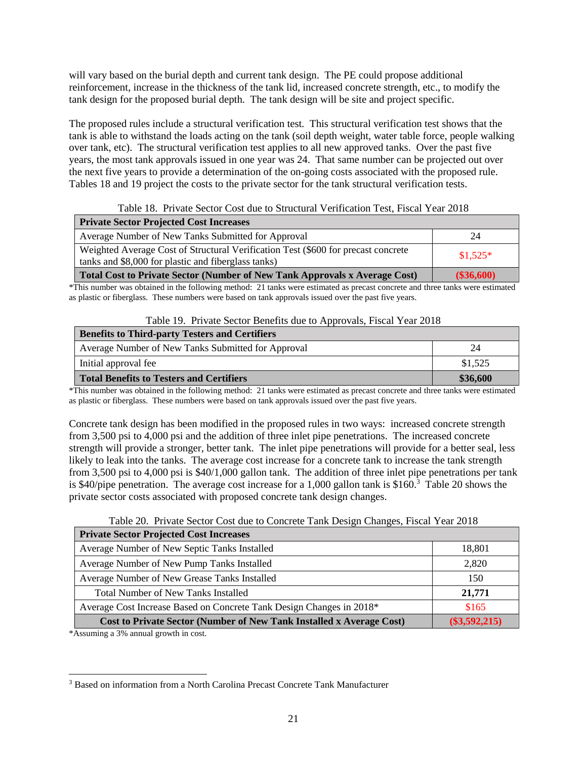will vary based on the burial depth and current tank design. The PE could propose additional reinforcement, increase in the thickness of the tank lid, increased concrete strength, etc., to modify the tank design for the proposed burial depth. The tank design will be site and project specific.

The proposed rules include a structural verification test. This structural verification test shows that the tank is able to withstand the loads acting on the tank (soil depth weight, water table force, people walking over tank, etc). The structural verification test applies to all new approved tanks. Over the past five years, the most tank approvals issued in one year was 24. That same number can be projected out over the next five years to provide a determination of the on-going costs associated with the proposed rule. Tables 18 and 19 project the costs to the private sector for the tank structural verification tests.

Table 18. Private Sector Cost due to Structural Verification Test, Fiscal Year 2018

| <b>Private Sector Projected Cost Increases</b>                                                                                           |            |
|------------------------------------------------------------------------------------------------------------------------------------------|------------|
| Average Number of New Tanks Submitted for Approval                                                                                       | 24         |
| Weighted Average Cost of Structural Verification Test (\$600 for precast concrete<br>tanks and \$8,000 for plastic and fiberglass tanks) | $$1,525*$  |
| <b>Total Cost to Private Sector (Number of New Tank Approvals x Average Cost)</b>                                                        | (\$36,600) |

\*This number was obtained in the following method: 21 tanks were estimated as precast concrete and three tanks were estimated as plastic or fiberglass. These numbers were based on tank approvals issued over the past five years.

| Table 19. Private Sector Benefits due to Approvals, Fiscal Year 2018 |  |
|----------------------------------------------------------------------|--|
|----------------------------------------------------------------------|--|

| <b>Benefits to Third-party Testers and Certifiers</b> |          |
|-------------------------------------------------------|----------|
| Average Number of New Tanks Submitted for Approval    | 24       |
| Initial approval fee                                  | \$1,525  |
| <b>Total Benefits to Testers and Certifiers</b>       | \$36,600 |

\*This number was obtained in the following method: 21 tanks were estimated as precast concrete and three tanks were estimated as plastic or fiberglass. These numbers were based on tank approvals issued over the past five years.

Concrete tank design has been modified in the proposed rules in two ways: increased concrete strength from 3,500 psi to 4,000 psi and the addition of three inlet pipe penetrations. The increased concrete strength will provide a stronger, better tank. The inlet pipe penetrations will provide for a better seal, less likely to leak into the tanks. The average cost increase for a concrete tank to increase the tank strength from 3,500 psi to 4,000 psi is \$40/1,000 gallon tank. The addition of three inlet pipe penetrations per tank is \$40/pipe penetration. The average cost increase for a 1,000 gallon tank is \$160.<sup>3</sup> Table 20 shows the private sector costs associated with proposed concrete tank design changes.

Table 20. Private Sector Cost due to Concrete Tank Design Changes, Fiscal Year 2018

| <b>Private Sector Projected Cost Increases</b>                       |                 |
|----------------------------------------------------------------------|-----------------|
| Average Number of New Septic Tanks Installed                         | 18,801          |
| Average Number of New Pump Tanks Installed                           | 2,820           |
| Average Number of New Grease Tanks Installed                         | 150             |
| <b>Total Number of New Tanks Installed</b>                           | 21,771          |
| Average Cost Increase Based on Concrete Tank Design Changes in 2018* | \$165           |
| Cost to Private Sector (Number of New Tank Installed x Average Cost) | $(\$3,592,215)$ |

\*Assuming a 3% annual growth in cost.

 $\overline{a}$ <sup>3</sup> Based on information from a North Carolina Precast Concrete Tank Manufacturer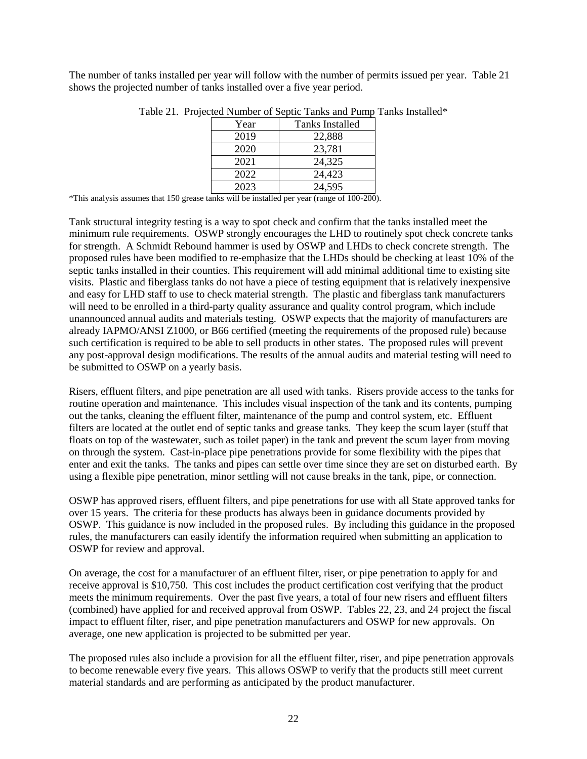The number of tanks installed per year will follow with the number of permits issued per year. Table 21 shows the projected number of tanks installed over a five year period.

| Year | Tanks Installed |
|------|-----------------|
| 2019 | 22,888          |
| 2020 | 23,781          |
| 2021 | 24,325          |
| 2022 | 24,423          |
| 2023 | 24,595          |

Table 21. Projected Number of Septic Tanks and Pump Tanks Installed\*

\*This analysis assumes that 150 grease tanks will be installed per year (range of 100-200).

Tank structural integrity testing is a way to spot check and confirm that the tanks installed meet the minimum rule requirements. OSWP strongly encourages the LHD to routinely spot check concrete tanks for strength. A Schmidt Rebound hammer is used by OSWP and LHDs to check concrete strength. The proposed rules have been modified to re-emphasize that the LHDs should be checking at least 10% of the septic tanks installed in their counties. This requirement will add minimal additional time to existing site visits. Plastic and fiberglass tanks do not have a piece of testing equipment that is relatively inexpensive and easy for LHD staff to use to check material strength. The plastic and fiberglass tank manufacturers will need to be enrolled in a third-party quality assurance and quality control program, which include unannounced annual audits and materials testing. OSWP expects that the majority of manufacturers are already IAPMO/ANSI Z1000, or B66 certified (meeting the requirements of the proposed rule) because such certification is required to be able to sell products in other states. The proposed rules will prevent any post-approval design modifications. The results of the annual audits and material testing will need to be submitted to OSWP on a yearly basis.

Risers, effluent filters, and pipe penetration are all used with tanks. Risers provide access to the tanks for routine operation and maintenance. This includes visual inspection of the tank and its contents, pumping out the tanks, cleaning the effluent filter, maintenance of the pump and control system, etc. Effluent filters are located at the outlet end of septic tanks and grease tanks. They keep the scum layer (stuff that floats on top of the wastewater, such as toilet paper) in the tank and prevent the scum layer from moving on through the system. Cast-in-place pipe penetrations provide for some flexibility with the pipes that enter and exit the tanks. The tanks and pipes can settle over time since they are set on disturbed earth. By using a flexible pipe penetration, minor settling will not cause breaks in the tank, pipe, or connection.

OSWP has approved risers, effluent filters, and pipe penetrations for use with all State approved tanks for over 15 years. The criteria for these products has always been in guidance documents provided by OSWP. This guidance is now included in the proposed rules. By including this guidance in the proposed rules, the manufacturers can easily identify the information required when submitting an application to OSWP for review and approval.

On average, the cost for a manufacturer of an effluent filter, riser, or pipe penetration to apply for and receive approval is \$10,750. This cost includes the product certification cost verifying that the product meets the minimum requirements. Over the past five years, a total of four new risers and effluent filters (combined) have applied for and received approval from OSWP. Tables 22, 23, and 24 project the fiscal impact to effluent filter, riser, and pipe penetration manufacturers and OSWP for new approvals. On average, one new application is projected to be submitted per year.

The proposed rules also include a provision for all the effluent filter, riser, and pipe penetration approvals to become renewable every five years. This allows OSWP to verify that the products still meet current material standards and are performing as anticipated by the product manufacturer.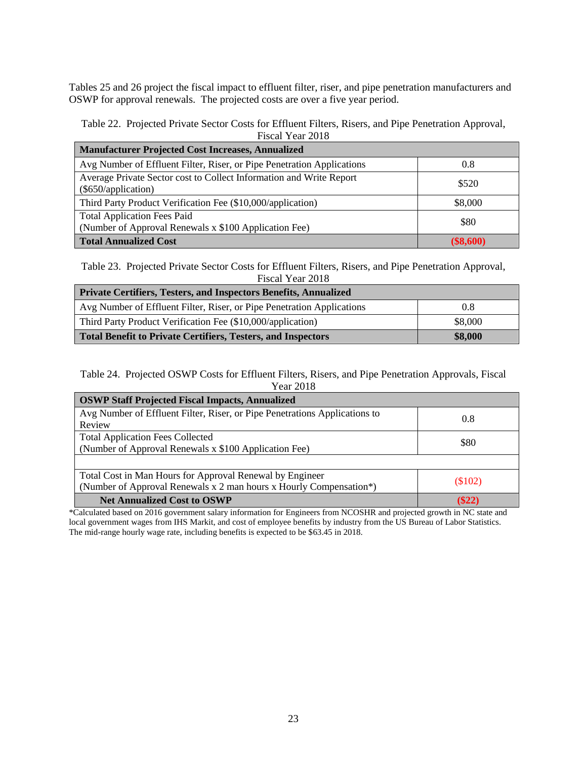Tables 25 and 26 project the fiscal impact to effluent filter, riser, and pipe penetration manufacturers and OSWP for approval renewals. The projected costs are over a five year period.

#### Table 22. Projected Private Sector Costs for Effluent Filters, Risers, and Pipe Penetration Approval, Fiscal Year 2018

| <b>Manufacturer Projected Cost Increases, Annualized</b>                                    |             |  |
|---------------------------------------------------------------------------------------------|-------------|--|
| Avg Number of Effluent Filter, Riser, or Pipe Penetration Applications                      | 0.8         |  |
| Average Private Sector cost to Collect Information and Write Report<br>(\$650/application)  | \$520       |  |
| Third Party Product Verification Fee (\$10,000/application)                                 | \$8,000     |  |
| <b>Total Application Fees Paid</b><br>(Number of Approval Renewals x \$100 Application Fee) | \$80        |  |
| <b>Total Annualized Cost</b>                                                                | $(\$8,600)$ |  |

Table 23. Projected Private Sector Costs for Effluent Filters, Risers, and Pipe Penetration Approval, Fiscal Year 2018

| <b>Private Certifiers, Testers, and Inspectors Benefits, Annualized</b> |         |  |  |
|-------------------------------------------------------------------------|---------|--|--|
| Avg Number of Effluent Filter, Riser, or Pipe Penetration Applications  | 0.8     |  |  |
| Third Party Product Verification Fee (\$10,000/application)             | \$8,000 |  |  |
| <b>Total Benefit to Private Certifiers, Testers, and Inspectors</b>     | \$8,000 |  |  |

#### Table 24. Projected OSWP Costs for Effluent Filters, Risers, and Pipe Penetration Approvals, Fiscal Year 2018

| <b>OSWP Staff Projected Fiscal Impacts, Annualized</b>                     |           |  |  |
|----------------------------------------------------------------------------|-----------|--|--|
| Avg Number of Effluent Filter, Riser, or Pipe Penetrations Applications to | 0.8       |  |  |
| Review                                                                     |           |  |  |
| <b>Total Application Fees Collected</b>                                    | \$80      |  |  |
| (Number of Approval Renewals x \$100 Application Fee)                      |           |  |  |
|                                                                            |           |  |  |
| Total Cost in Man Hours for Approval Renewal by Engineer                   |           |  |  |
| (Number of Approval Renewals x 2 man hours x Hourly Compensation*)         | $(\$102)$ |  |  |
| <b>Net Annualized Cost to OSWP</b>                                         | (S22)     |  |  |

\*Calculated based on 2016 government salary information for Engineers from NCOSHR and projected growth in NC state and local government wages from IHS Markit, and cost of employee benefits by industry from the US Bureau of Labor Statistics. The mid-range hourly wage rate, including benefits is expected to be \$63.45 in 2018.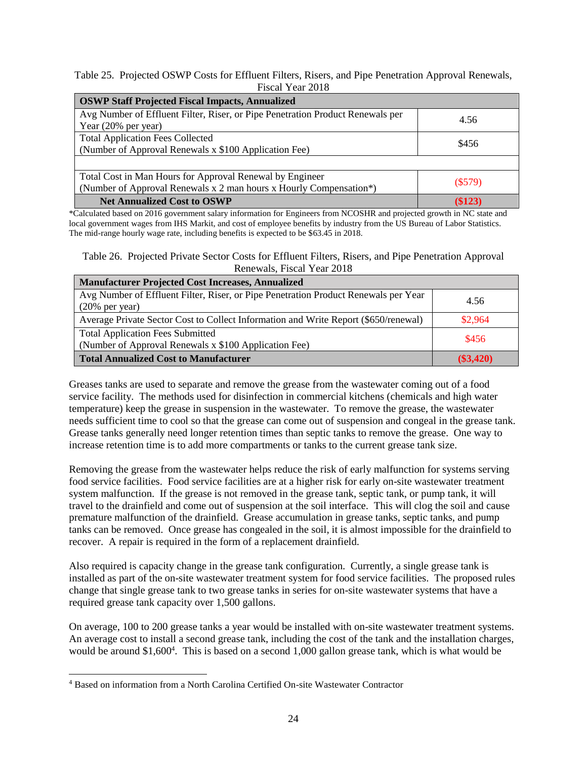Table 25. Projected OSWP Costs for Effluent Filters, Risers, and Pipe Penetration Approval Renewals, Fiscal Year 2018

| <b>OSWP Staff Projected Fiscal Impacts, Annualized</b>                         |         |  |  |
|--------------------------------------------------------------------------------|---------|--|--|
| Avg Number of Effluent Filter, Riser, or Pipe Penetration Product Renewals per | 4.56    |  |  |
| Year (20% per year)                                                            |         |  |  |
| <b>Total Application Fees Collected</b>                                        | \$456   |  |  |
| (Number of Approval Renewals x \$100 Application Fee)                          |         |  |  |
|                                                                                |         |  |  |
| Total Cost in Man Hours for Approval Renewal by Engineer                       |         |  |  |
| (Number of Approval Renewals x 2 man hours x Hourly Compensation*)             | (\$579) |  |  |
| <b>Net Annualized Cost to OSWP</b>                                             | (\$123  |  |  |

\*Calculated based on 2016 government salary information for Engineers from NCOSHR and projected growth in NC state and local government wages from IHS Markit, and cost of employee benefits by industry from the US Bureau of Labor Statistics. The mid-range hourly wage rate, including benefits is expected to be \$63.45 in 2018.

Table 26. Projected Private Sector Costs for Effluent Filters, Risers, and Pipe Penetration Approval Renewals, Fiscal Year 2018

| <b>Manufacturer Projected Cost Increases, Annualized</b>                                                 |             |
|----------------------------------------------------------------------------------------------------------|-------------|
| Avg Number of Effluent Filter, Riser, or Pipe Penetration Product Renewals per Year<br>$(20\%$ per year) | 4.56        |
| Average Private Sector Cost to Collect Information and Write Report (\$650/renewal)                      | \$2,964     |
| <b>Total Application Fees Submitted</b><br>(Number of Approval Renewals x \$100 Application Fee)         | \$456       |
| <b>Total Annualized Cost to Manufacturer</b>                                                             | $(\$3,420)$ |

Greases tanks are used to separate and remove the grease from the wastewater coming out of a food service facility. The methods used for disinfection in commercial kitchens (chemicals and high water temperature) keep the grease in suspension in the wastewater. To remove the grease, the wastewater needs sufficient time to cool so that the grease can come out of suspension and congeal in the grease tank. Grease tanks generally need longer retention times than septic tanks to remove the grease. One way to increase retention time is to add more compartments or tanks to the current grease tank size.

Removing the grease from the wastewater helps reduce the risk of early malfunction for systems serving food service facilities. Food service facilities are at a higher risk for early on-site wastewater treatment system malfunction. If the grease is not removed in the grease tank, septic tank, or pump tank, it will travel to the drainfield and come out of suspension at the soil interface. This will clog the soil and cause premature malfunction of the drainfield. Grease accumulation in grease tanks, septic tanks, and pump tanks can be removed. Once grease has congealed in the soil, it is almost impossible for the drainfield to recover. A repair is required in the form of a replacement drainfield.

Also required is capacity change in the grease tank configuration. Currently, a single grease tank is installed as part of the on-site wastewater treatment system for food service facilities. The proposed rules change that single grease tank to two grease tanks in series for on-site wastewater systems that have a required grease tank capacity over 1,500 gallons.

On average, 100 to 200 grease tanks a year would be installed with on-site wastewater treatment systems. An average cost to install a second grease tank, including the cost of the tank and the installation charges, would be around \$1,600<sup>4</sup>. This is based on a second 1,000 gallon grease tank, which is what would be

 $\overline{a}$ 

<sup>4</sup> Based on information from a North Carolina Certified On-site Wastewater Contractor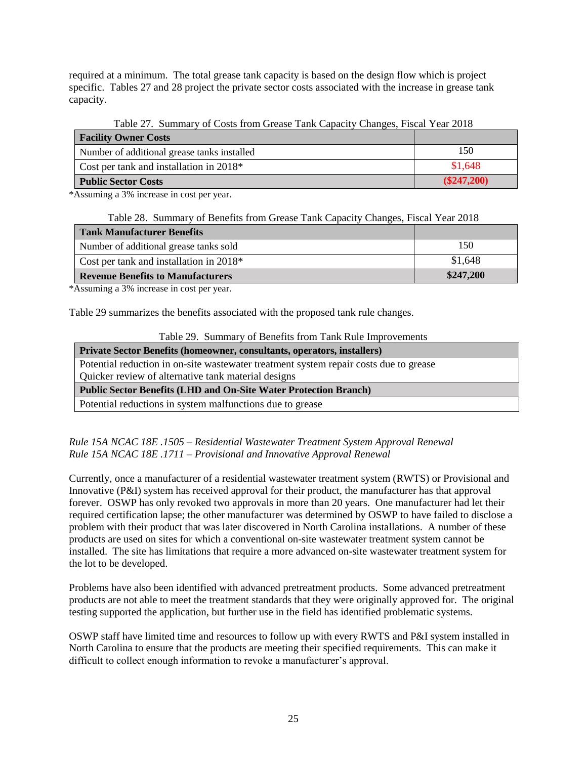required at a minimum. The total grease tank capacity is based on the design flow which is project specific. Tables 27 and 28 project the private sector costs associated with the increase in grease tank capacity.

Table 27. Summary of Costs from Grease Tank Capacity Changes, Fiscal Year 2018

| <b>Facility Owner Costs</b>                 |               |
|---------------------------------------------|---------------|
| Number of additional grease tanks installed | 150           |
| Cost per tank and installation in $2018*$   | \$1,648       |
| <b>Public Sector Costs</b>                  | $(\$247,200)$ |

\*Assuming a 3% increase in cost per year.

Table 28. Summary of Benefits from Grease Tank Capacity Changes, Fiscal Year 2018

| <b>Tank Manufacturer Benefits</b>        |           |
|------------------------------------------|-----------|
| Number of additional grease tanks sold   | 150       |
| Cost per tank and installation in 2018*  | \$1,648   |
| <b>Revenue Benefits to Manufacturers</b> | \$247,200 |

\*Assuming a 3% increase in cost per year.

Table 29 summarizes the benefits associated with the proposed tank rule changes.

| Table 29. Summary of Benefits from Tank Rule Improvements |  |  |  |  |  |  |
|-----------------------------------------------------------|--|--|--|--|--|--|
|-----------------------------------------------------------|--|--|--|--|--|--|

| <b>Private Sector Benefits (homeowner, consultants, operators, installers)</b>        |
|---------------------------------------------------------------------------------------|
| Potential reduction in on-site wastewater treatment system repair costs due to grease |
| Quicker review of alternative tank material designs                                   |
| <b>Public Sector Benefits (LHD and On-Site Water Protection Branch)</b>               |
| Potential reductions in system malfunctions due to grease                             |

*Rule 15A NCAC 18E .1505 – Residential Wastewater Treatment System Approval Renewal Rule 15A NCAC 18E .1711 – Provisional and Innovative Approval Renewal*

Currently, once a manufacturer of a residential wastewater treatment system (RWTS) or Provisional and Innovative (P&I) system has received approval for their product, the manufacturer has that approval forever. OSWP has only revoked two approvals in more than 20 years. One manufacturer had let their required certification lapse; the other manufacturer was determined by OSWP to have failed to disclose a problem with their product that was later discovered in North Carolina installations. A number of these products are used on sites for which a conventional on-site wastewater treatment system cannot be installed. The site has limitations that require a more advanced on-site wastewater treatment system for the lot to be developed.

Problems have also been identified with advanced pretreatment products. Some advanced pretreatment products are not able to meet the treatment standards that they were originally approved for. The original testing supported the application, but further use in the field has identified problematic systems.

OSWP staff have limited time and resources to follow up with every RWTS and P&I system installed in North Carolina to ensure that the products are meeting their specified requirements. This can make it difficult to collect enough information to revoke a manufacturer's approval.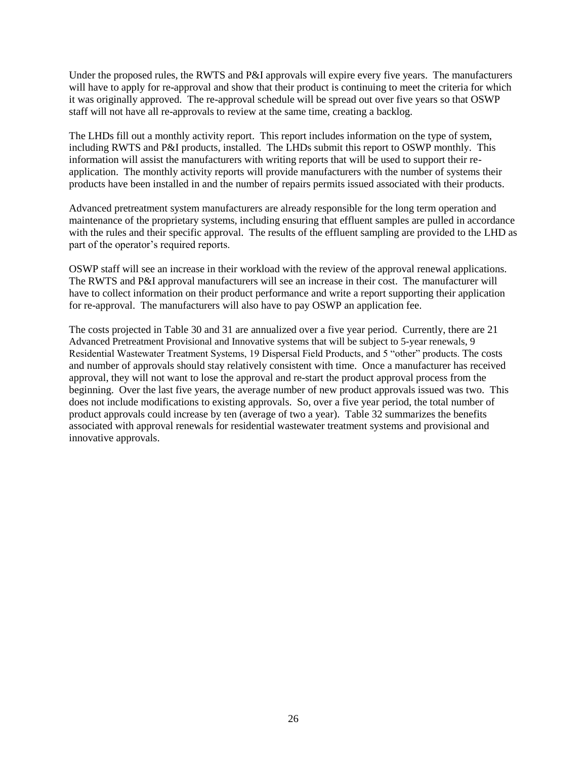Under the proposed rules, the RWTS and P&I approvals will expire every five years. The manufacturers will have to apply for re-approval and show that their product is continuing to meet the criteria for which it was originally approved. The re-approval schedule will be spread out over five years so that OSWP staff will not have all re-approvals to review at the same time, creating a backlog.

The LHDs fill out a monthly activity report. This report includes information on the type of system, including RWTS and P&I products, installed. The LHDs submit this report to OSWP monthly. This information will assist the manufacturers with writing reports that will be used to support their reapplication. The monthly activity reports will provide manufacturers with the number of systems their products have been installed in and the number of repairs permits issued associated with their products.

Advanced pretreatment system manufacturers are already responsible for the long term operation and maintenance of the proprietary systems, including ensuring that effluent samples are pulled in accordance with the rules and their specific approval. The results of the effluent sampling are provided to the LHD as part of the operator's required reports.

OSWP staff will see an increase in their workload with the review of the approval renewal applications. The RWTS and P&I approval manufacturers will see an increase in their cost. The manufacturer will have to collect information on their product performance and write a report supporting their application for re-approval. The manufacturers will also have to pay OSWP an application fee.

The costs projected in Table 30 and 31 are annualized over a five year period. Currently, there are 21 Advanced Pretreatment Provisional and Innovative systems that will be subject to 5-year renewals, 9 Residential Wastewater Treatment Systems, 19 Dispersal Field Products, and 5 "other" products. The costs and number of approvals should stay relatively consistent with time. Once a manufacturer has received approval, they will not want to lose the approval and re-start the product approval process from the beginning. Over the last five years, the average number of new product approvals issued was two. This does not include modifications to existing approvals. So, over a five year period, the total number of product approvals could increase by ten (average of two a year). Table 32 summarizes the benefits associated with approval renewals for residential wastewater treatment systems and provisional and innovative approvals.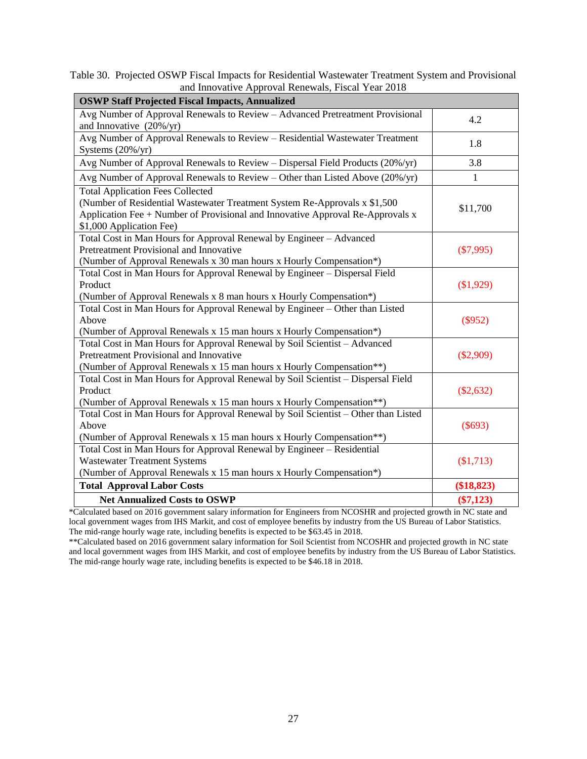Table 30. Projected OSWP Fiscal Impacts for Residential Wastewater Treatment System and Provisional and Innovative Approval Renewals, Fiscal Year 2018

| <b>OSWP Staff Projected Fiscal Impacts, Annualized</b>                                                                                                                                                                              |             |
|-------------------------------------------------------------------------------------------------------------------------------------------------------------------------------------------------------------------------------------|-------------|
| Avg Number of Approval Renewals to Review - Advanced Pretreatment Provisional<br>and Innovative $(20\%/yr)$                                                                                                                         | 4.2         |
| Avg Number of Approval Renewals to Review - Residential Wastewater Treatment<br>Systems $(20\%/yr)$                                                                                                                                 | 1.8         |
| Avg Number of Approval Renewals to Review - Dispersal Field Products (20%/yr)                                                                                                                                                       | 3.8         |
| Avg Number of Approval Renewals to Review - Other than Listed Above (20%/yr)                                                                                                                                                        | 1           |
| <b>Total Application Fees Collected</b><br>(Number of Residential Wastewater Treatment System Re-Approvals x \$1,500)<br>Application Fee + Number of Provisional and Innovative Approval Re-Approvals x<br>\$1,000 Application Fee) | \$11,700    |
| Total Cost in Man Hours for Approval Renewal by Engineer - Advanced<br>Pretreatment Provisional and Innovative<br>(Number of Approval Renewals x 30 man hours x Hourly Compensation*)                                               | $(\$7,995)$ |
| Total Cost in Man Hours for Approval Renewal by Engineer - Dispersal Field<br>Product<br>(Number of Approval Renewals x 8 man hours x Hourly Compensation*)                                                                         | (\$1,929)   |
| Total Cost in Man Hours for Approval Renewal by Engineer – Other than Listed<br>Above<br>(Number of Approval Renewals x 15 man hours x Hourly Compensation*)                                                                        | $(\$952)$   |
| Total Cost in Man Hours for Approval Renewal by Soil Scientist - Advanced<br>Pretreatment Provisional and Innovative<br>(Number of Approval Renewals x 15 man hours x Hourly Compensation**)                                        | $(\$2,909)$ |
| Total Cost in Man Hours for Approval Renewal by Soil Scientist - Dispersal Field<br>Product<br>(Number of Approval Renewals x 15 man hours x Hourly Compensation**)                                                                 | $(\$2,632)$ |
| Total Cost in Man Hours for Approval Renewal by Soil Scientist - Other than Listed<br>Above<br>(Number of Approval Renewals x 15 man hours x Hourly Compensation**)                                                                 | $(\$693)$   |
| Total Cost in Man Hours for Approval Renewal by Engineer - Residential<br><b>Wastewater Treatment Systems</b><br>(Number of Approval Renewals x 15 man hours x Hourly Compensation*)                                                | (\$1,713)   |
| <b>Total Approval Labor Costs</b>                                                                                                                                                                                                   | (\$18,823)  |
| <b>Net Annualized Costs to OSWP</b>                                                                                                                                                                                                 | $(\$7,123)$ |

\*Calculated based on 2016 government salary information for Engineers from NCOSHR and projected growth in NC state and local government wages from IHS Markit, and cost of employee benefits by industry from the US Bureau of Labor Statistics. The mid-range hourly wage rate, including benefits is expected to be \$63.45 in 2018.

\*\*Calculated based on 2016 government salary information for Soil Scientist from NCOSHR and projected growth in NC state and local government wages from IHS Markit, and cost of employee benefits by industry from the US Bureau of Labor Statistics. The mid-range hourly wage rate, including benefits is expected to be \$46.18 in 2018.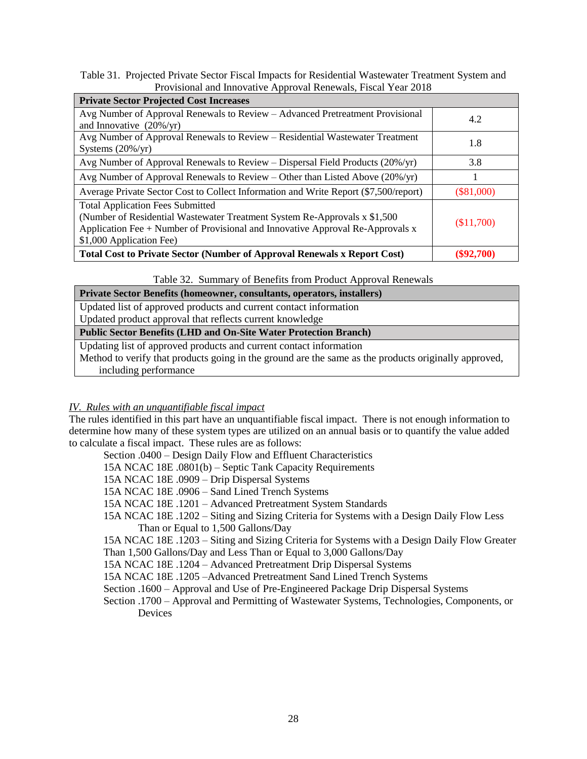Table 31. Projected Private Sector Fiscal Impacts for Residential Wastewater Treatment System and Provisional and Innovative Approval Renewals, Fiscal Year 2018

| <b>Private Sector Projected Cost Increases</b>                                       |              |
|--------------------------------------------------------------------------------------|--------------|
| Avg Number of Approval Renewals to Review - Advanced Pretreatment Provisional        | 4.2          |
| and Innovative $(20\%/yr)$                                                           |              |
| Avg Number of Approval Renewals to Review – Residential Wastewater Treatment         | 1.8          |
| Systems $(20\%/yr)$                                                                  |              |
| Avg Number of Approval Renewals to Review – Dispersal Field Products (20%/yr)        | 3.8          |
| Avg Number of Approval Renewals to Review – Other than Listed Above $(20\%/yr)$      |              |
| Average Private Sector Cost to Collect Information and Write Report (\$7,500/report) | $(\$81,000)$ |
| <b>Total Application Fees Submitted</b>                                              |              |
| (Number of Residential Wastewater Treatment System Re-Approvals x \$1,500)           |              |
| Application Fee $+$ Number of Provisional and Innovative Approval Re-Approvals x     | (\$11,700)   |
| \$1,000 Application Fee)                                                             |              |
| <b>Total Cost to Private Sector (Number of Approval Renewals x Report Cost)</b>      | (S92.700)    |

Table 32. Summary of Benefits from Product Approval Renewals

| Private Sector Benefits (homeowner, consultants, operators, installers) |  |  |  |
|-------------------------------------------------------------------------|--|--|--|
|                                                                         |  |  |  |

Updated list of approved products and current contact information Updated product approval that reflects current knowledge **Public Sector Benefits (LHD and On-Site Water Protection Branch)**

Updating list of approved products and current contact information

Method to verify that products going in the ground are the same as the products originally approved, including performance

# *IV. Rules with an unquantifiable fiscal impact*

The rules identified in this part have an unquantifiable fiscal impact. There is not enough information to determine how many of these system types are utilized on an annual basis or to quantify the value added to calculate a fiscal impact. These rules are as follows:

Section .0400 – Design Daily Flow and Effluent Characteristics

15A NCAC 18E .0801(b) – Septic Tank Capacity Requirements

15A NCAC 18E .0909 – Drip Dispersal Systems

15A NCAC 18E .0906 – Sand Lined Trench Systems

15A NCAC 18E .1201 – Advanced Pretreatment System Standards

15A NCAC 18E .1202 – Siting and Sizing Criteria for Systems with a Design Daily Flow Less Than or Equal to 1,500 Gallons/Day

15A NCAC 18E .1203 – Siting and Sizing Criteria for Systems with a Design Daily Flow Greater Than 1,500 Gallons/Day and Less Than or Equal to 3,000 Gallons/Day

15A NCAC 18E .1204 – Advanced Pretreatment Drip Dispersal Systems

15A NCAC 18E .1205 –Advanced Pretreatment Sand Lined Trench Systems

Section .1600 – Approval and Use of Pre-Engineered Package Drip Dispersal Systems

Section .1700 – Approval and Permitting of Wastewater Systems, Technologies, Components, or Devices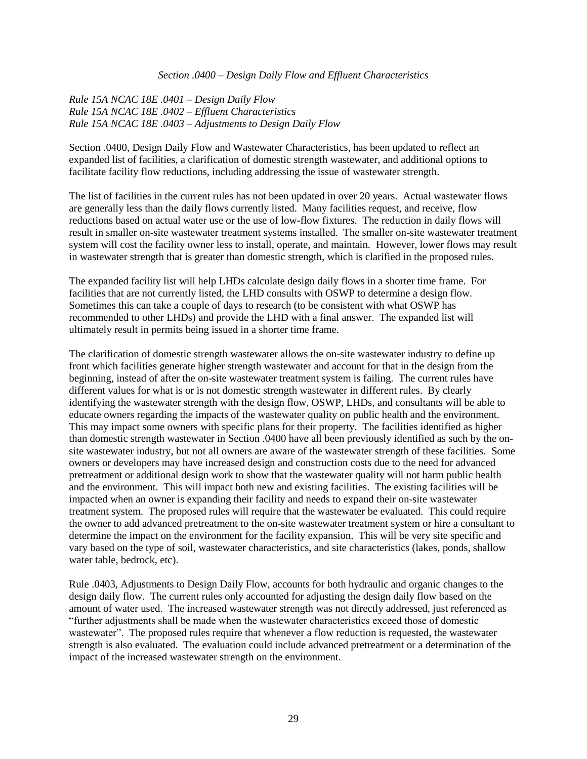#### *Section .0400 – Design Daily Flow and Effluent Characteristics*

*Rule 15A NCAC 18E .0401 – Design Daily Flow Rule 15A NCAC 18E .0402 – Effluent Characteristics Rule 15A NCAC 18E .0403 – Adjustments to Design Daily Flow*

Section .0400, Design Daily Flow and Wastewater Characteristics, has been updated to reflect an expanded list of facilities, a clarification of domestic strength wastewater, and additional options to facilitate facility flow reductions, including addressing the issue of wastewater strength.

The list of facilities in the current rules has not been updated in over 20 years. Actual wastewater flows are generally less than the daily flows currently listed. Many facilities request, and receive, flow reductions based on actual water use or the use of low-flow fixtures. The reduction in daily flows will result in smaller on-site wastewater treatment systems installed. The smaller on-site wastewater treatment system will cost the facility owner less to install, operate, and maintain. However, lower flows may result in wastewater strength that is greater than domestic strength, which is clarified in the proposed rules.

The expanded facility list will help LHDs calculate design daily flows in a shorter time frame. For facilities that are not currently listed, the LHD consults with OSWP to determine a design flow. Sometimes this can take a couple of days to research (to be consistent with what OSWP has recommended to other LHDs) and provide the LHD with a final answer. The expanded list will ultimately result in permits being issued in a shorter time frame.

The clarification of domestic strength wastewater allows the on-site wastewater industry to define up front which facilities generate higher strength wastewater and account for that in the design from the beginning, instead of after the on-site wastewater treatment system is failing. The current rules have different values for what is or is not domestic strength wastewater in different rules. By clearly identifying the wastewater strength with the design flow, OSWP, LHDs, and consultants will be able to educate owners regarding the impacts of the wastewater quality on public health and the environment. This may impact some owners with specific plans for their property. The facilities identified as higher than domestic strength wastewater in Section .0400 have all been previously identified as such by the onsite wastewater industry, but not all owners are aware of the wastewater strength of these facilities. Some owners or developers may have increased design and construction costs due to the need for advanced pretreatment or additional design work to show that the wastewater quality will not harm public health and the environment. This will impact both new and existing facilities. The existing facilities will be impacted when an owner is expanding their facility and needs to expand their on-site wastewater treatment system. The proposed rules will require that the wastewater be evaluated. This could require the owner to add advanced pretreatment to the on-site wastewater treatment system or hire a consultant to determine the impact on the environment for the facility expansion. This will be very site specific and vary based on the type of soil, wastewater characteristics, and site characteristics (lakes, ponds, shallow water table, bedrock, etc).

Rule .0403, Adjustments to Design Daily Flow, accounts for both hydraulic and organic changes to the design daily flow. The current rules only accounted for adjusting the design daily flow based on the amount of water used. The increased wastewater strength was not directly addressed, just referenced as "further adjustments shall be made when the wastewater characteristics exceed those of domestic wastewater". The proposed rules require that whenever a flow reduction is requested, the wastewater strength is also evaluated. The evaluation could include advanced pretreatment or a determination of the impact of the increased wastewater strength on the environment.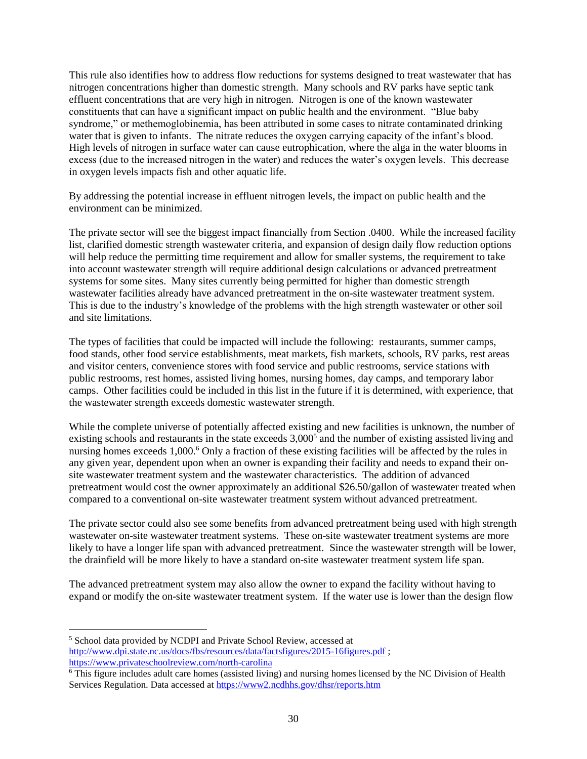This rule also identifies how to address flow reductions for systems designed to treat wastewater that has nitrogen concentrations higher than domestic strength. Many schools and RV parks have septic tank effluent concentrations that are very high in nitrogen. Nitrogen is one of the known wastewater constituents that can have a significant impact on public health and the environment. "Blue baby syndrome," or methemoglobinemia, has been attributed in some cases to nitrate contaminated drinking water that is given to infants. The nitrate reduces the oxygen carrying capacity of the infant's blood. High levels of nitrogen in surface water can cause eutrophication, where the alga in the water blooms in excess (due to the increased nitrogen in the water) and reduces the water's oxygen levels. This decrease in oxygen levels impacts fish and other aquatic life.

By addressing the potential increase in effluent nitrogen levels, the impact on public health and the environment can be minimized.

The private sector will see the biggest impact financially from Section .0400. While the increased facility list, clarified domestic strength wastewater criteria, and expansion of design daily flow reduction options will help reduce the permitting time requirement and allow for smaller systems, the requirement to take into account wastewater strength will require additional design calculations or advanced pretreatment systems for some sites. Many sites currently being permitted for higher than domestic strength wastewater facilities already have advanced pretreatment in the on-site wastewater treatment system. This is due to the industry's knowledge of the problems with the high strength wastewater or other soil and site limitations.

The types of facilities that could be impacted will include the following: restaurants, summer camps, food stands, other food service establishments, meat markets, fish markets, schools, RV parks, rest areas and visitor centers, convenience stores with food service and public restrooms, service stations with public restrooms, rest homes, assisted living homes, nursing homes, day camps, and temporary labor camps. Other facilities could be included in this list in the future if it is determined, with experience, that the wastewater strength exceeds domestic wastewater strength.

While the complete universe of potentially affected existing and new facilities is unknown, the number of existing schools and restaurants in the state exceeds 3,000<sup>5</sup> and the number of existing assisted living and nursing homes exceeds 1,000.<sup>6</sup> Only a fraction of these existing facilities will be affected by the rules in any given year, dependent upon when an owner is expanding their facility and needs to expand their onsite wastewater treatment system and the wastewater characteristics. The addition of advanced pretreatment would cost the owner approximately an additional \$26.50/gallon of wastewater treated when compared to a conventional on-site wastewater treatment system without advanced pretreatment.

The private sector could also see some benefits from advanced pretreatment being used with high strength wastewater on-site wastewater treatment systems. These on-site wastewater treatment systems are more likely to have a longer life span with advanced pretreatment. Since the wastewater strength will be lower, the drainfield will be more likely to have a standard on-site wastewater treatment system life span.

The advanced pretreatment system may also allow the owner to expand the facility without having to expand or modify the on-site wastewater treatment system. If the water use is lower than the design flow

 $\overline{a}$ 

<sup>5</sup> School data provided by NCDPI and Private School Review, accessed at <http://www.dpi.state.nc.us/docs/fbs/resources/data/factsfigures/2015-16figures.pdf> ; <https://www.privateschoolreview.com/north-carolina>

<sup>6</sup> This figure includes adult care homes (assisted living) and nursing homes licensed by the NC Division of Health Services Regulation. Data accessed at<https://www2.ncdhhs.gov/dhsr/reports.htm>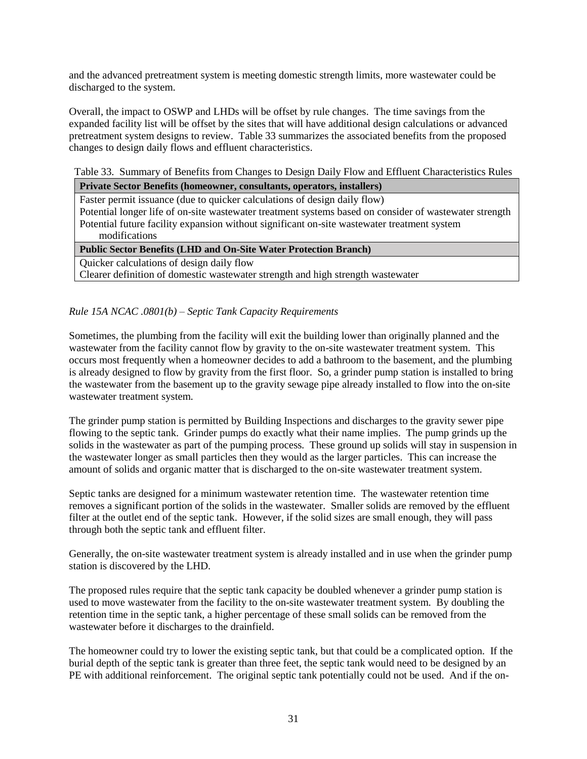and the advanced pretreatment system is meeting domestic strength limits, more wastewater could be discharged to the system.

Overall, the impact to OSWP and LHDs will be offset by rule changes. The time savings from the expanded facility list will be offset by the sites that will have additional design calculations or advanced pretreatment system designs to review. Table 33 summarizes the associated benefits from the proposed changes to design daily flows and effluent characteristics.

Table 33. Summary of Benefits from Changes to Design Daily Flow and Effluent Characteristics Rules

| Private Sector Benefits (homeowner, consultants, operators, installers)                                |
|--------------------------------------------------------------------------------------------------------|
| Faster permit issuance (due to quicker calculations of design daily flow)                              |
| Potential longer life of on-site wastewater treatment systems based on consider of wastewater strength |
| Potential future facility expansion without significant on-site wastewater treatment system            |
| modifications                                                                                          |
| <b>Public Sector Benefits (LHD and On-Site Water Protection Branch)</b>                                |
| Quicker calculations of design daily flow                                                              |

Clearer definition of domestic wastewater strength and high strength wastewater

# *Rule 15A NCAC .0801(b) – Septic Tank Capacity Requirements*

Sometimes, the plumbing from the facility will exit the building lower than originally planned and the wastewater from the facility cannot flow by gravity to the on-site wastewater treatment system. This occurs most frequently when a homeowner decides to add a bathroom to the basement, and the plumbing is already designed to flow by gravity from the first floor. So, a grinder pump station is installed to bring the wastewater from the basement up to the gravity sewage pipe already installed to flow into the on-site wastewater treatment system.

The grinder pump station is permitted by Building Inspections and discharges to the gravity sewer pipe flowing to the septic tank. Grinder pumps do exactly what their name implies. The pump grinds up the solids in the wastewater as part of the pumping process. These ground up solids will stay in suspension in the wastewater longer as small particles then they would as the larger particles. This can increase the amount of solids and organic matter that is discharged to the on-site wastewater treatment system.

Septic tanks are designed for a minimum wastewater retention time. The wastewater retention time removes a significant portion of the solids in the wastewater. Smaller solids are removed by the effluent filter at the outlet end of the septic tank. However, if the solid sizes are small enough, they will pass through both the septic tank and effluent filter.

Generally, the on-site wastewater treatment system is already installed and in use when the grinder pump station is discovered by the LHD.

The proposed rules require that the septic tank capacity be doubled whenever a grinder pump station is used to move wastewater from the facility to the on-site wastewater treatment system. By doubling the retention time in the septic tank, a higher percentage of these small solids can be removed from the wastewater before it discharges to the drainfield.

The homeowner could try to lower the existing septic tank, but that could be a complicated option. If the burial depth of the septic tank is greater than three feet, the septic tank would need to be designed by an PE with additional reinforcement. The original septic tank potentially could not be used. And if the on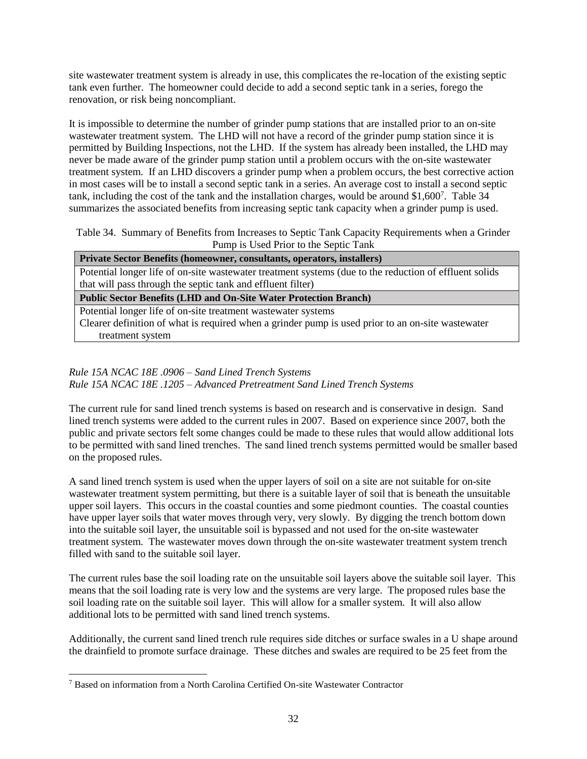site wastewater treatment system is already in use, this complicates the re-location of the existing septic tank even further. The homeowner could decide to add a second septic tank in a series, forego the renovation, or risk being noncompliant.

It is impossible to determine the number of grinder pump stations that are installed prior to an on-site wastewater treatment system. The LHD will not have a record of the grinder pump station since it is permitted by Building Inspections, not the LHD. If the system has already been installed, the LHD may never be made aware of the grinder pump station until a problem occurs with the on-site wastewater treatment system. If an LHD discovers a grinder pump when a problem occurs, the best corrective action in most cases will be to install a second septic tank in a series. An average cost to install a second septic tank, including the cost of the tank and the installation charges, would be around \$1,600<sup>7</sup>. Table 34 summarizes the associated benefits from increasing septic tank capacity when a grinder pump is used.

Table 34. Summary of Benefits from Increases to Septic Tank Capacity Requirements when a Grinder Pump is Used Prior to the Septic Tank

**Private Sector Benefits (homeowner, consultants, operators, installers)**

Potential longer life of on-site wastewater treatment systems (due to the reduction of effluent solids that will pass through the septic tank and effluent filter)

**Public Sector Benefits (LHD and On-Site Water Protection Branch)**

Potential longer life of on-site treatment wastewater systems

Clearer definition of what is required when a grinder pump is used prior to an on-site wastewater treatment system

# *Rule 15A NCAC 18E .0906 – Sand Lined Trench Systems Rule 15A NCAC 18E .1205 – Advanced Pretreatment Sand Lined Trench Systems*

The current rule for sand lined trench systems is based on research and is conservative in design. Sand lined trench systems were added to the current rules in 2007. Based on experience since 2007, both the public and private sectors felt some changes could be made to these rules that would allow additional lots to be permitted with sand lined trenches. The sand lined trench systems permitted would be smaller based on the proposed rules.

A sand lined trench system is used when the upper layers of soil on a site are not suitable for on-site wastewater treatment system permitting, but there is a suitable layer of soil that is beneath the unsuitable upper soil layers. This occurs in the coastal counties and some piedmont counties. The coastal counties have upper layer soils that water moves through very, very slowly. By digging the trench bottom down into the suitable soil layer, the unsuitable soil is bypassed and not used for the on-site wastewater treatment system. The wastewater moves down through the on-site wastewater treatment system trench filled with sand to the suitable soil layer.

The current rules base the soil loading rate on the unsuitable soil layers above the suitable soil layer. This means that the soil loading rate is very low and the systems are very large. The proposed rules base the soil loading rate on the suitable soil layer. This will allow for a smaller system. It will also allow additional lots to be permitted with sand lined trench systems.

Additionally, the current sand lined trench rule requires side ditches or surface swales in a U shape around the drainfield to promote surface drainage. These ditches and swales are required to be 25 feet from the

 $\overline{a}$ 

<sup>7</sup> Based on information from a North Carolina Certified On-site Wastewater Contractor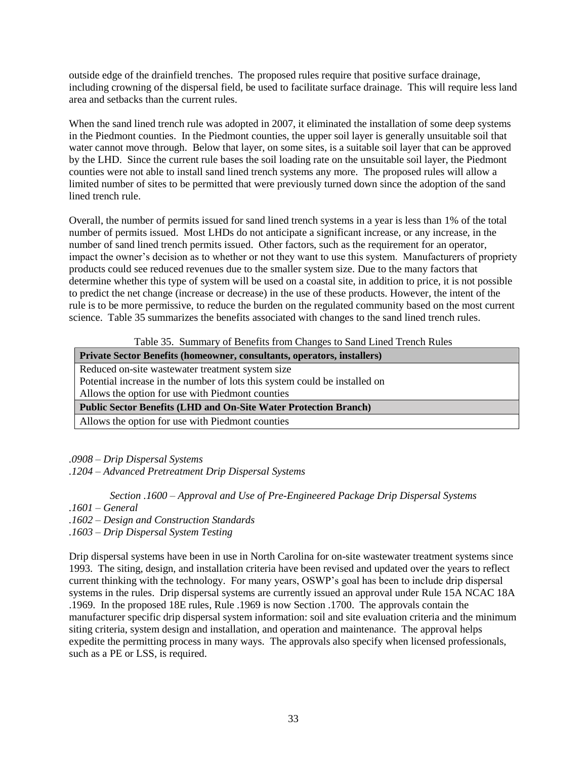outside edge of the drainfield trenches. The proposed rules require that positive surface drainage, including crowning of the dispersal field, be used to facilitate surface drainage. This will require less land area and setbacks than the current rules.

When the sand lined trench rule was adopted in 2007, it eliminated the installation of some deep systems in the Piedmont counties. In the Piedmont counties, the upper soil layer is generally unsuitable soil that water cannot move through. Below that layer, on some sites, is a suitable soil layer that can be approved by the LHD. Since the current rule bases the soil loading rate on the unsuitable soil layer, the Piedmont counties were not able to install sand lined trench systems any more. The proposed rules will allow a limited number of sites to be permitted that were previously turned down since the adoption of the sand lined trench rule.

Overall, the number of permits issued for sand lined trench systems in a year is less than 1% of the total number of permits issued. Most LHDs do not anticipate a significant increase, or any increase, in the number of sand lined trench permits issued. Other factors, such as the requirement for an operator, impact the owner's decision as to whether or not they want to use this system. Manufacturers of propriety products could see reduced revenues due to the smaller system size. Due to the many factors that determine whether this type of system will be used on a coastal site, in addition to price, it is not possible to predict the net change (increase or decrease) in the use of these products. However, the intent of the rule is to be more permissive, to reduce the burden on the regulated community based on the most current science. Table 35 summarizes the benefits associated with changes to the sand lined trench rules.

Table 35. Summary of Benefits from Changes to Sand Lined Trench Rules

| Private Sector Benefits (homeowner, consultants, operators, installers)    |
|----------------------------------------------------------------------------|
| Reduced on-site wastewater treatment system size                           |
| Potential increase in the number of lots this system could be installed on |
| Allows the option for use with Piedmont counties                           |
| <b>Public Sector Benefits (LHD and On-Site Water Protection Branch)</b>    |
| Allows the option for use with Piedmont counties                           |

*.0908 – Drip Dispersal Systems*

*.1204 – Advanced Pretreatment Drip Dispersal Systems*

*Section .1600 – Approval and Use of Pre-Engineered Package Drip Dispersal Systems*

- *.1601 – General*
- *.1602 – Design and Construction Standards*
- *.1603 – Drip Dispersal System Testing*

Drip dispersal systems have been in use in North Carolina for on-site wastewater treatment systems since 1993. The siting, design, and installation criteria have been revised and updated over the years to reflect current thinking with the technology. For many years, OSWP's goal has been to include drip dispersal systems in the rules. Drip dispersal systems are currently issued an approval under Rule 15A NCAC 18A .1969. In the proposed 18E rules, Rule .1969 is now Section .1700. The approvals contain the manufacturer specific drip dispersal system information: soil and site evaluation criteria and the minimum siting criteria, system design and installation, and operation and maintenance. The approval helps expedite the permitting process in many ways. The approvals also specify when licensed professionals, such as a PE or LSS, is required.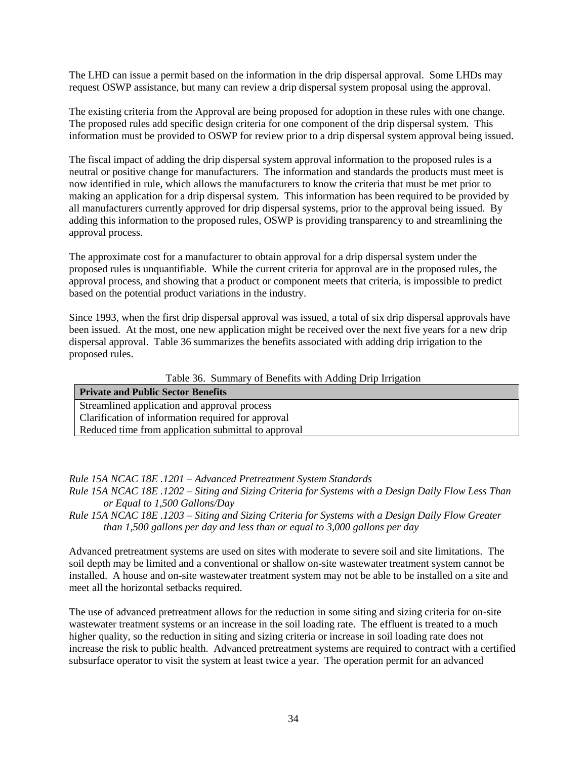The LHD can issue a permit based on the information in the drip dispersal approval. Some LHDs may request OSWP assistance, but many can review a drip dispersal system proposal using the approval.

The existing criteria from the Approval are being proposed for adoption in these rules with one change. The proposed rules add specific design criteria for one component of the drip dispersal system. This information must be provided to OSWP for review prior to a drip dispersal system approval being issued.

The fiscal impact of adding the drip dispersal system approval information to the proposed rules is a neutral or positive change for manufacturers. The information and standards the products must meet is now identified in rule, which allows the manufacturers to know the criteria that must be met prior to making an application for a drip dispersal system. This information has been required to be provided by all manufacturers currently approved for drip dispersal systems, prior to the approval being issued. By adding this information to the proposed rules, OSWP is providing transparency to and streamlining the approval process.

The approximate cost for a manufacturer to obtain approval for a drip dispersal system under the proposed rules is unquantifiable. While the current criteria for approval are in the proposed rules, the approval process, and showing that a product or component meets that criteria, is impossible to predict based on the potential product variations in the industry.

Since 1993, when the first drip dispersal approval was issued, a total of six drip dispersal approvals have been issued. At the most, one new application might be received over the next five years for a new drip dispersal approval. Table 36 summarizes the benefits associated with adding drip irrigation to the proposed rules.

Table 36. Summary of Benefits with Adding Drip Irrigation

| <b>Private and Public Sector Benefits</b>           |
|-----------------------------------------------------|
| Streamlined application and approval process        |
| Clarification of information required for approval  |
| Reduced time from application submittal to approval |

*Rule 15A NCAC 18E .1201 – Advanced Pretreatment System Standards*

*Rule 15A NCAC 18E .1202 – Siting and Sizing Criteria for Systems with a Design Daily Flow Less Than or Equal to 1,500 Gallons/Day*

*Rule 15A NCAC 18E .1203 – Siting and Sizing Criteria for Systems with a Design Daily Flow Greater than 1,500 gallons per day and less than or equal to 3,000 gallons per day*

Advanced pretreatment systems are used on sites with moderate to severe soil and site limitations. The soil depth may be limited and a conventional or shallow on-site wastewater treatment system cannot be installed. A house and on-site wastewater treatment system may not be able to be installed on a site and meet all the horizontal setbacks required.

The use of advanced pretreatment allows for the reduction in some siting and sizing criteria for on-site wastewater treatment systems or an increase in the soil loading rate. The effluent is treated to a much higher quality, so the reduction in siting and sizing criteria or increase in soil loading rate does not increase the risk to public health. Advanced pretreatment systems are required to contract with a certified subsurface operator to visit the system at least twice a year. The operation permit for an advanced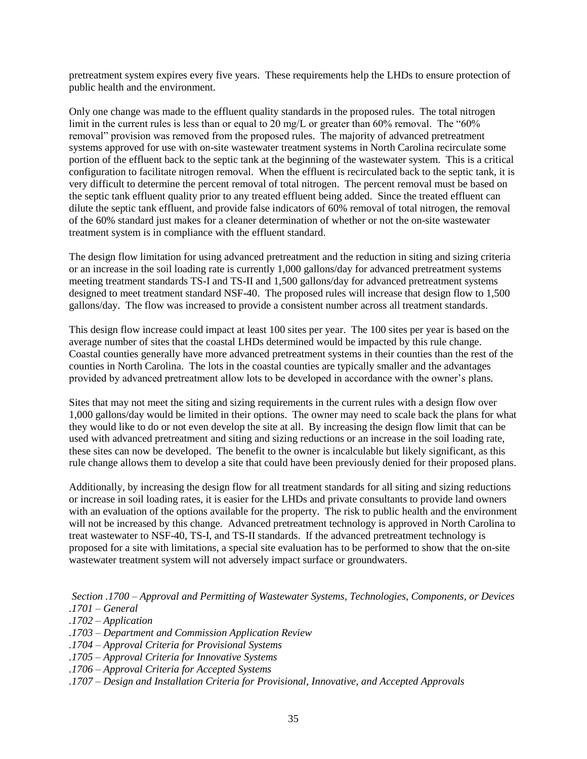pretreatment system expires every five years. These requirements help the LHDs to ensure protection of public health and the environment.

Only one change was made to the effluent quality standards in the proposed rules. The total nitrogen limit in the current rules is less than or equal to 20 mg/L or greater than 60% removal. The "60% removal" provision was removed from the proposed rules. The majority of advanced pretreatment systems approved for use with on-site wastewater treatment systems in North Carolina recirculate some portion of the effluent back to the septic tank at the beginning of the wastewater system. This is a critical configuration to facilitate nitrogen removal. When the effluent is recirculated back to the septic tank, it is very difficult to determine the percent removal of total nitrogen. The percent removal must be based on the septic tank effluent quality prior to any treated effluent being added. Since the treated effluent can dilute the septic tank effluent, and provide false indicators of 60% removal of total nitrogen, the removal of the 60% standard just makes for a cleaner determination of whether or not the on-site wastewater treatment system is in compliance with the effluent standard.

The design flow limitation for using advanced pretreatment and the reduction in siting and sizing criteria or an increase in the soil loading rate is currently 1,000 gallons/day for advanced pretreatment systems meeting treatment standards TS-I and TS-II and 1,500 gallons/day for advanced pretreatment systems designed to meet treatment standard NSF-40. The proposed rules will increase that design flow to 1,500 gallons/day. The flow was increased to provide a consistent number across all treatment standards.

This design flow increase could impact at least 100 sites per year. The 100 sites per year is based on the average number of sites that the coastal LHDs determined would be impacted by this rule change. Coastal counties generally have more advanced pretreatment systems in their counties than the rest of the counties in North Carolina. The lots in the coastal counties are typically smaller and the advantages provided by advanced pretreatment allow lots to be developed in accordance with the owner's plans.

Sites that may not meet the siting and sizing requirements in the current rules with a design flow over 1,000 gallons/day would be limited in their options. The owner may need to scale back the plans for what they would like to do or not even develop the site at all. By increasing the design flow limit that can be used with advanced pretreatment and siting and sizing reductions or an increase in the soil loading rate, these sites can now be developed. The benefit to the owner is incalculable but likely significant, as this rule change allows them to develop a site that could have been previously denied for their proposed plans.

Additionally, by increasing the design flow for all treatment standards for all siting and sizing reductions or increase in soil loading rates, it is easier for the LHDs and private consultants to provide land owners with an evaluation of the options available for the property. The risk to public health and the environment will not be increased by this change. Advanced pretreatment technology is approved in North Carolina to treat wastewater to NSF-40, TS-I, and TS-II standards. If the advanced pretreatment technology is proposed for a site with limitations, a special site evaluation has to be performed to show that the on-site wastewater treatment system will not adversely impact surface or groundwaters.

*Section .1700 – Approval and Permitting of Wastewater Systems, Technologies, Components, or Devices .1701 – General*

- *.1702 – Application*
- *.1703 – Department and Commission Application Review*
- *.1704 – Approval Criteria for Provisional Systems*
- *.1705 – Approval Criteria for Innovative Systems*
- *.1706 – Approval Criteria for Accepted Systems*
- *.1707 – Design and Installation Criteria for Provisional, Innovative, and Accepted Approvals*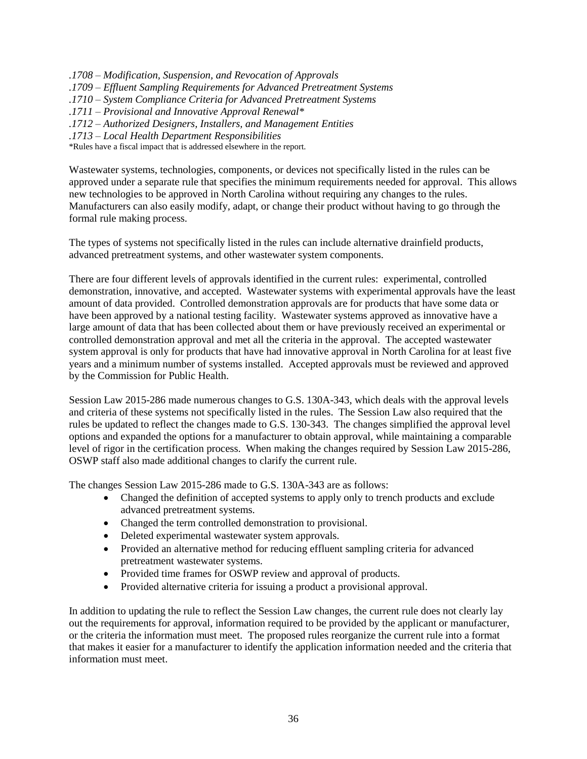*.1708 – Modification, Suspension, and Revocation of Approvals .1709 – Effluent Sampling Requirements for Advanced Pretreatment Systems .1710 – System Compliance Criteria for Advanced Pretreatment Systems .1711 – Provisional and Innovative Approval Renewal\* .1712 – Authorized Designers, Installers, and Management Entities .1713 – Local Health Department Responsibilities*

\*Rules have a fiscal impact that is addressed elsewhere in the report.

Wastewater systems, technologies, components, or devices not specifically listed in the rules can be approved under a separate rule that specifies the minimum requirements needed for approval. This allows new technologies to be approved in North Carolina without requiring any changes to the rules. Manufacturers can also easily modify, adapt, or change their product without having to go through the formal rule making process.

The types of systems not specifically listed in the rules can include alternative drainfield products, advanced pretreatment systems, and other wastewater system components.

There are four different levels of approvals identified in the current rules: experimental, controlled demonstration, innovative, and accepted. Wastewater systems with experimental approvals have the least amount of data provided. Controlled demonstration approvals are for products that have some data or have been approved by a national testing facility. Wastewater systems approved as innovative have a large amount of data that has been collected about them or have previously received an experimental or controlled demonstration approval and met all the criteria in the approval. The accepted wastewater system approval is only for products that have had innovative approval in North Carolina for at least five years and a minimum number of systems installed. Accepted approvals must be reviewed and approved by the Commission for Public Health.

Session Law 2015-286 made numerous changes to G.S. 130A-343, which deals with the approval levels and criteria of these systems not specifically listed in the rules. The Session Law also required that the rules be updated to reflect the changes made to G.S. 130-343. The changes simplified the approval level options and expanded the options for a manufacturer to obtain approval, while maintaining a comparable level of rigor in the certification process. When making the changes required by Session Law 2015-286, OSWP staff also made additional changes to clarify the current rule.

The changes Session Law 2015-286 made to G.S. 130A-343 are as follows:

- Changed the definition of accepted systems to apply only to trench products and exclude advanced pretreatment systems.
- Changed the term controlled demonstration to provisional.
- Deleted experimental wastewater system approvals.
- Provided an alternative method for reducing effluent sampling criteria for advanced pretreatment wastewater systems.
- Provided time frames for OSWP review and approval of products.
- Provided alternative criteria for issuing a product a provisional approval.

In addition to updating the rule to reflect the Session Law changes, the current rule does not clearly lay out the requirements for approval, information required to be provided by the applicant or manufacturer, or the criteria the information must meet. The proposed rules reorganize the current rule into a format that makes it easier for a manufacturer to identify the application information needed and the criteria that information must meet.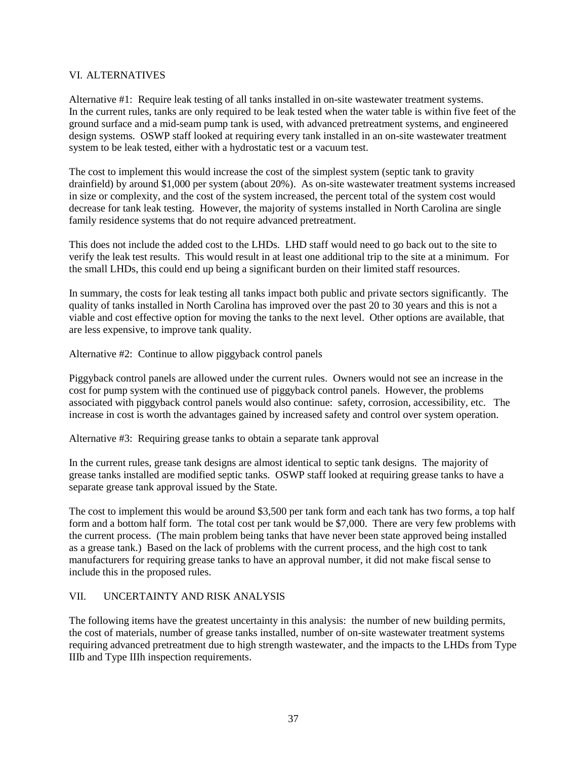#### VI. ALTERNATIVES

Alternative #1: Require leak testing of all tanks installed in on-site wastewater treatment systems. In the current rules, tanks are only required to be leak tested when the water table is within five feet of the ground surface and a mid-seam pump tank is used, with advanced pretreatment systems, and engineered design systems. OSWP staff looked at requiring every tank installed in an on-site wastewater treatment system to be leak tested, either with a hydrostatic test or a vacuum test.

The cost to implement this would increase the cost of the simplest system (septic tank to gravity drainfield) by around \$1,000 per system (about 20%). As on-site wastewater treatment systems increased in size or complexity, and the cost of the system increased, the percent total of the system cost would decrease for tank leak testing. However, the majority of systems installed in North Carolina are single family residence systems that do not require advanced pretreatment.

This does not include the added cost to the LHDs. LHD staff would need to go back out to the site to verify the leak test results. This would result in at least one additional trip to the site at a minimum. For the small LHDs, this could end up being a significant burden on their limited staff resources.

In summary, the costs for leak testing all tanks impact both public and private sectors significantly. The quality of tanks installed in North Carolina has improved over the past 20 to 30 years and this is not a viable and cost effective option for moving the tanks to the next level. Other options are available, that are less expensive, to improve tank quality.

Alternative #2: Continue to allow piggyback control panels

Piggyback control panels are allowed under the current rules. Owners would not see an increase in the cost for pump system with the continued use of piggyback control panels. However, the problems associated with piggyback control panels would also continue: safety, corrosion, accessibility, etc. The increase in cost is worth the advantages gained by increased safety and control over system operation.

Alternative #3: Requiring grease tanks to obtain a separate tank approval

In the current rules, grease tank designs are almost identical to septic tank designs. The majority of grease tanks installed are modified septic tanks. OSWP staff looked at requiring grease tanks to have a separate grease tank approval issued by the State.

The cost to implement this would be around \$3,500 per tank form and each tank has two forms, a top half form and a bottom half form. The total cost per tank would be \$7,000. There are very few problems with the current process. (The main problem being tanks that have never been state approved being installed as a grease tank.) Based on the lack of problems with the current process, and the high cost to tank manufacturers for requiring grease tanks to have an approval number, it did not make fiscal sense to include this in the proposed rules.

# VII. UNCERTAINTY AND RISK ANALYSIS

The following items have the greatest uncertainty in this analysis: the number of new building permits, the cost of materials, number of grease tanks installed, number of on-site wastewater treatment systems requiring advanced pretreatment due to high strength wastewater, and the impacts to the LHDs from Type IIIb and Type IIIh inspection requirements.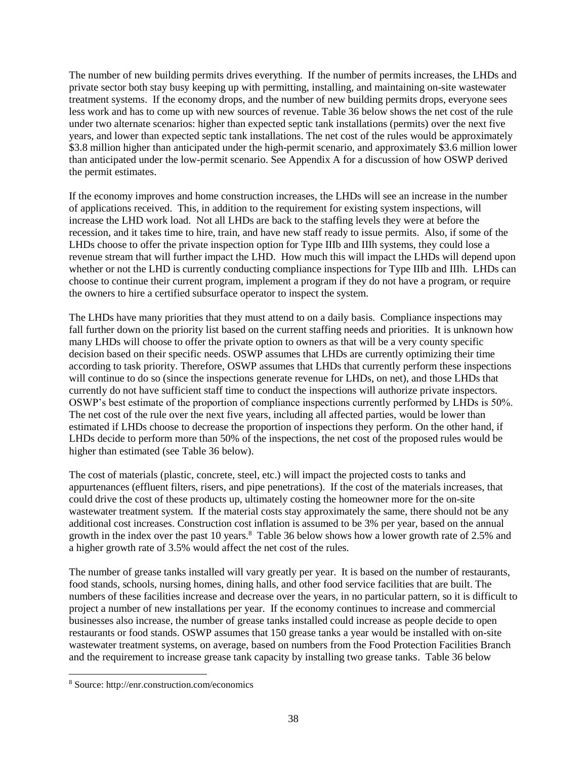The number of new building permits drives everything. If the number of permits increases, the LHDs and private sector both stay busy keeping up with permitting, installing, and maintaining on-site wastewater treatment systems. If the economy drops, and the number of new building permits drops, everyone sees less work and has to come up with new sources of revenue. Table 36 below shows the net cost of the rule under two alternate scenarios: higher than expected septic tank installations (permits) over the next five years, and lower than expected septic tank installations. The net cost of the rules would be approximately \$3.8 million higher than anticipated under the high-permit scenario, and approximately \$3.6 million lower than anticipated under the low-permit scenario. See Appendix A for a discussion of how OSWP derived the permit estimates.

If the economy improves and home construction increases, the LHDs will see an increase in the number of applications received. This, in addition to the requirement for existing system inspections, will increase the LHD work load. Not all LHDs are back to the staffing levels they were at before the recession, and it takes time to hire, train, and have new staff ready to issue permits. Also, if some of the LHDs choose to offer the private inspection option for Type IIIb and IIIh systems, they could lose a revenue stream that will further impact the LHD. How much this will impact the LHDs will depend upon whether or not the LHD is currently conducting compliance inspections for Type IIIb and IIIh. LHDs can choose to continue their current program, implement a program if they do not have a program, or require the owners to hire a certified subsurface operator to inspect the system.

The LHDs have many priorities that they must attend to on a daily basis. Compliance inspections may fall further down on the priority list based on the current staffing needs and priorities. It is unknown how many LHDs will choose to offer the private option to owners as that will be a very county specific decision based on their specific needs. OSWP assumes that LHDs are currently optimizing their time according to task priority. Therefore, OSWP assumes that LHDs that currently perform these inspections will continue to do so (since the inspections generate revenue for LHDs, on net), and those LHDs that currently do not have sufficient staff time to conduct the inspections will authorize private inspectors. OSWP's best estimate of the proportion of compliance inspections currently performed by LHDs is 50%. The net cost of the rule over the next five years, including all affected parties, would be lower than estimated if LHDs choose to decrease the proportion of inspections they perform. On the other hand, if LHDs decide to perform more than 50% of the inspections, the net cost of the proposed rules would be higher than estimated (see Table 36 below).

The cost of materials (plastic, concrete, steel, etc.) will impact the projected costs to tanks and appurtenances (effluent filters, risers, and pipe penetrations). If the cost of the materials increases, that could drive the cost of these products up, ultimately costing the homeowner more for the on-site wastewater treatment system. If the material costs stay approximately the same, there should not be any additional cost increases. Construction cost inflation is assumed to be 3% per year, based on the annual growth in the index over the past 10 years.<sup>8</sup> Table 36 below shows how a lower growth rate of 2.5% and a higher growth rate of 3.5% would affect the net cost of the rules.

The number of grease tanks installed will vary greatly per year. It is based on the number of restaurants, food stands, schools, nursing homes, dining halls, and other food service facilities that are built. The numbers of these facilities increase and decrease over the years, in no particular pattern, so it is difficult to project a number of new installations per year. If the economy continues to increase and commercial businesses also increase, the number of grease tanks installed could increase as people decide to open restaurants or food stands. OSWP assumes that 150 grease tanks a year would be installed with on-site wastewater treatment systems, on average, based on numbers from the Food Protection Facilities Branch and the requirement to increase grease tank capacity by installing two grease tanks. Table 36 below

 $\overline{a}$ 

<sup>8</sup> Source: http://enr.construction.com/economics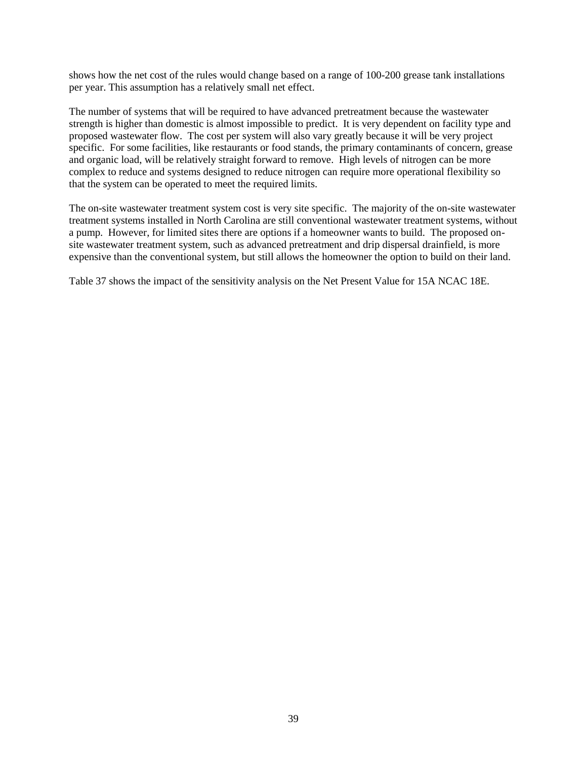shows how the net cost of the rules would change based on a range of 100-200 grease tank installations per year. This assumption has a relatively small net effect.

The number of systems that will be required to have advanced pretreatment because the wastewater strength is higher than domestic is almost impossible to predict. It is very dependent on facility type and proposed wastewater flow. The cost per system will also vary greatly because it will be very project specific. For some facilities, like restaurants or food stands, the primary contaminants of concern, grease and organic load, will be relatively straight forward to remove. High levels of nitrogen can be more complex to reduce and systems designed to reduce nitrogen can require more operational flexibility so that the system can be operated to meet the required limits.

The on-site wastewater treatment system cost is very site specific. The majority of the on-site wastewater treatment systems installed in North Carolina are still conventional wastewater treatment systems, without a pump. However, for limited sites there are options if a homeowner wants to build. The proposed onsite wastewater treatment system, such as advanced pretreatment and drip dispersal drainfield, is more expensive than the conventional system, but still allows the homeowner the option to build on their land.

Table 37 shows the impact of the sensitivity analysis on the Net Present Value for 15A NCAC 18E.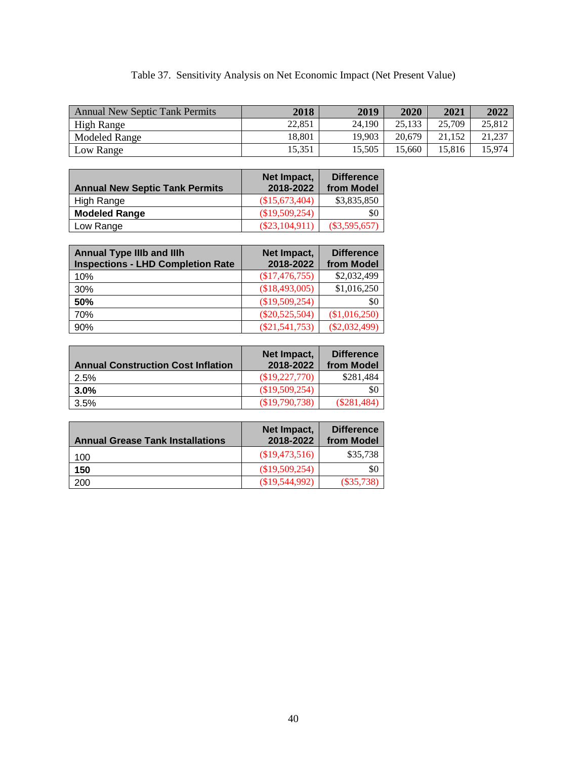# Table 37. Sensitivity Analysis on Net Economic Impact (Net Present Value)

| <b>Annual New Septic Tank Permits</b> | 2018   | 2019   | 2020   | 2021   | 2022   |
|---------------------------------------|--------|--------|--------|--------|--------|
| <b>High Range</b>                     | 22.851 | 24.190 | 25.133 | 25,709 | 25,812 |
| Modeled Range                         | 18.801 | 19.903 | 20.679 | 21.152 | 21.237 |
| Low Range                             | 15.351 | 15.505 | 15.660 | 15.816 | 5.974  |

| <b>Annual New Septic Tank Permits</b> | Net Impact,<br>2018-2022 | <b>Difference</b><br>from Model |
|---------------------------------------|--------------------------|---------------------------------|
| High Range                            | \$15,673,404             | \$3,835,850                     |
| <b>Modeled Range</b>                  | \$19,509,254             | 80                              |
| Low Range                             | $(\$23,104,911)$         | $(\$3,595,657)$                 |

| <b>Annual Type IIIb and IIIh</b><br><b>Inspections - LHD Completion Rate</b> | Net Impact,<br>2018-2022 | <b>Difference</b><br>from Model |
|------------------------------------------------------------------------------|--------------------------|---------------------------------|
| 10%                                                                          | (\$17,476,755)           | \$2,032,499                     |
| 30%                                                                          | (\$18,493,005)           | \$1,016,250                     |
| 50%                                                                          | (\$19,509,254)           | \$0                             |
| 70%                                                                          | $(\$20,525,504)$         | (\$1,016,250)                   |
| 90%                                                                          | $(\$21,541,753)$         | $(\$2,032,499)$                 |

| <b>Annual Construction Cost Inflation</b> | Net Impact.<br>2018-2022 | <b>Difference</b><br>from Model |
|-------------------------------------------|--------------------------|---------------------------------|
| 2.5%                                      | \$19,227,770             | \$281.484                       |
| 3.0%                                      | (\$19,509,254)           | \$0                             |
| 3.5%                                      | \$19,790,738             | $(\$281,484)$                   |

| <b>Annual Grease Tank Installations</b> | Net Impact,<br>2018-2022 | <b>Difference</b><br>from Model |
|-----------------------------------------|--------------------------|---------------------------------|
| 100                                     | \$19,473,516             | \$35,738                        |
| 150                                     | (\$19,509,254)           | \$0                             |
| 200                                     | (S19.544.992)            | $(\$35,738)$                    |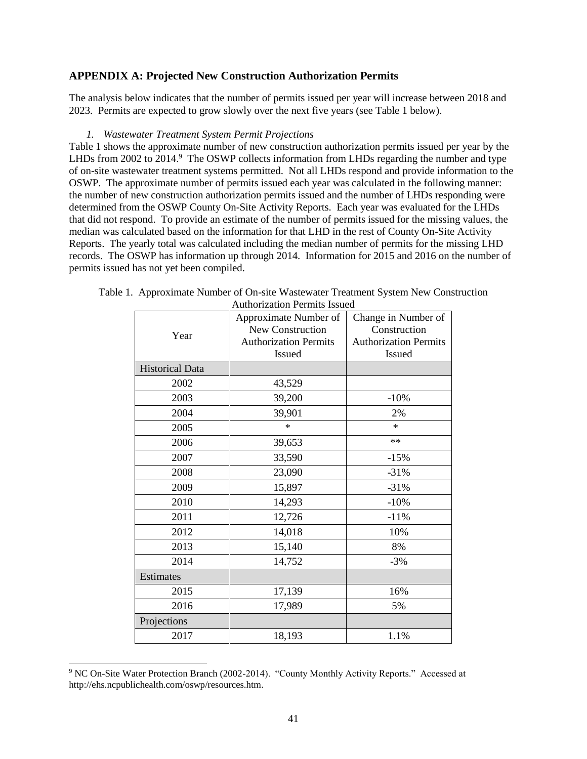# **APPENDIX A: Projected New Construction Authorization Permits**

The analysis below indicates that the number of permits issued per year will increase between 2018 and 2023. Permits are expected to grow slowly over the next five years (see Table 1 below).

#### *1. Wastewater Treatment System Permit Projections*

Table 1 shows the approximate number of new construction authorization permits issued per year by the LHDs from 2002 to 2014. $9$  The OSWP collects information from LHDs regarding the number and type of on-site wastewater treatment systems permitted. Not all LHDs respond and provide information to the OSWP. The approximate number of permits issued each year was calculated in the following manner: the number of new construction authorization permits issued and the number of LHDs responding were determined from the OSWP County On-Site Activity Reports. Each year was evaluated for the LHDs that did not respond. To provide an estimate of the number of permits issued for the missing values, the median was calculated based on the information for that LHD in the rest of County On-Site Activity Reports. The yearly total was calculated including the median number of permits for the missing LHD records. The OSWP has information up through 2014. Information for 2015 and 2016 on the number of permits issued has not yet been compiled.

|                        | Approximate Number of        | Change in Number of          |  |
|------------------------|------------------------------|------------------------------|--|
| Year                   | New Construction             | Construction                 |  |
|                        | <b>Authorization Permits</b> | <b>Authorization Permits</b> |  |
|                        | <b>Issued</b>                | Issued                       |  |
| <b>Historical Data</b> |                              |                              |  |
| 2002                   | 43,529                       |                              |  |
| 2003                   | 39,200                       | $-10%$                       |  |
| 2004                   | 39,901                       | 2%                           |  |
| 2005                   | $\ast$                       | *                            |  |
| 2006                   | 39,653                       | $\ast\ast$                   |  |
| 2007                   | 33,590                       | $-15%$                       |  |
| 2008                   | 23,090                       | $-31%$                       |  |
| 2009                   | 15,897                       | $-31%$                       |  |
| 2010                   | 14,293                       | $-10%$                       |  |
| 2011                   | 12,726                       | $-11%$                       |  |
| 2012                   | 14,018                       | 10%                          |  |
| 2013                   | 15,140                       | 8%                           |  |
| 2014                   | 14,752                       | $-3%$                        |  |
| Estimates              |                              |                              |  |
| 2015                   | 17,139                       | 16%                          |  |
| 2016                   | 17,989                       | 5%                           |  |
| Projections            |                              |                              |  |
| 2017                   | 18,193                       | 1.1%                         |  |

| Table 1. Approximate Number of On-site Wastewater Treatment System New Construction |                              |  |  |
|-------------------------------------------------------------------------------------|------------------------------|--|--|
|                                                                                     | Authorization Permits Issued |  |  |

l

<sup>9</sup> NC On-Site Water Protection Branch (2002-2014). "County Monthly Activity Reports." Accessed at http://ehs.ncpublichealth.com/oswp/resources.htm.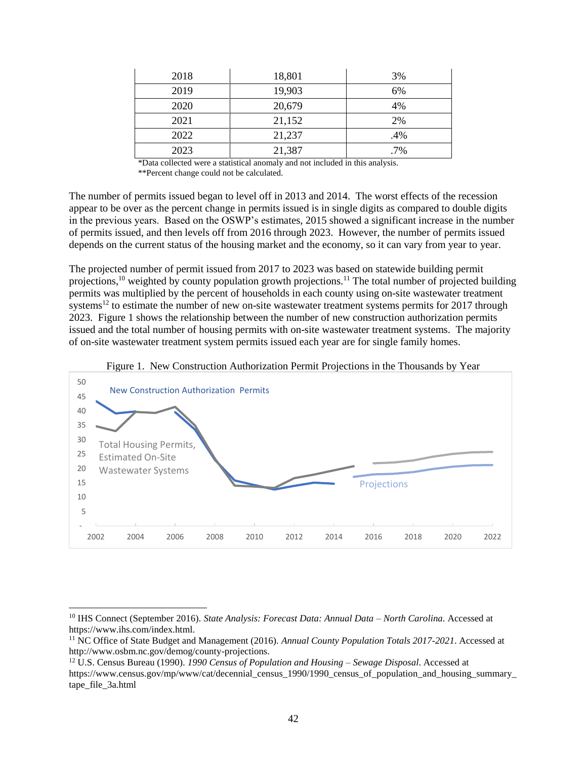| 2018 | 18,801 | 3%  |
|------|--------|-----|
| 2019 | 19,903 | 6%  |
| 2020 | 20,679 | 4%  |
| 2021 | 21,152 | 2%  |
| 2022 | 21,237 | .4% |
| 2023 | 21,387 | .7% |

\*Data collected were a statistical anomaly and not included in this analysis. \*\*Percent change could not be calculated.

The number of permits issued began to level off in 2013 and 2014. The worst effects of the recession appear to be over as the percent change in permits issued is in single digits as compared to double digits in the previous years. Based on the OSWP's estimates, 2015 showed a significant increase in the number of permits issued, and then levels off from 2016 through 2023. However, the number of permits issued depends on the current status of the housing market and the economy, so it can vary from year to year.

The projected number of permit issued from 2017 to 2023 was based on statewide building permit projections,<sup>10</sup> weighted by county population growth projections.<sup>11</sup> The total number of projected building permits was multiplied by the percent of households in each county using on-site wastewater treatment systems<sup>12</sup> to estimate the number of new on-site wastewater treatment systems permits for 2017 through 2023. Figure 1 shows the relationship between the number of new construction authorization permits issued and the total number of housing permits with on-site wastewater treatment systems. The majority of on-site wastewater treatment system permits issued each year are for single family homes.



Figure 1. New Construction Authorization Permit Projections in the Thousands by Year

 $\overline{a}$ 

<sup>10</sup> IHS Connect (September 2016). *State Analysis: Forecast Data: Annual Data – North Carolina.* Accessed at https://www.ihs.com/index.html.

<sup>11</sup> NC Office of State Budget and Management (2016). *Annual County Population Totals 2017-2021*. Accessed at http://www.osbm.nc.gov/demog/county-projections.

<sup>12</sup> U.S. Census Bureau (1990). *1990 Census of Population and Housing – Sewage Disposal*. Accessed at https://www.census.gov/mp/www/cat/decennial\_census\_1990/1990\_census\_of\_population\_and\_housing\_summary\_ tape\_file\_3a.html